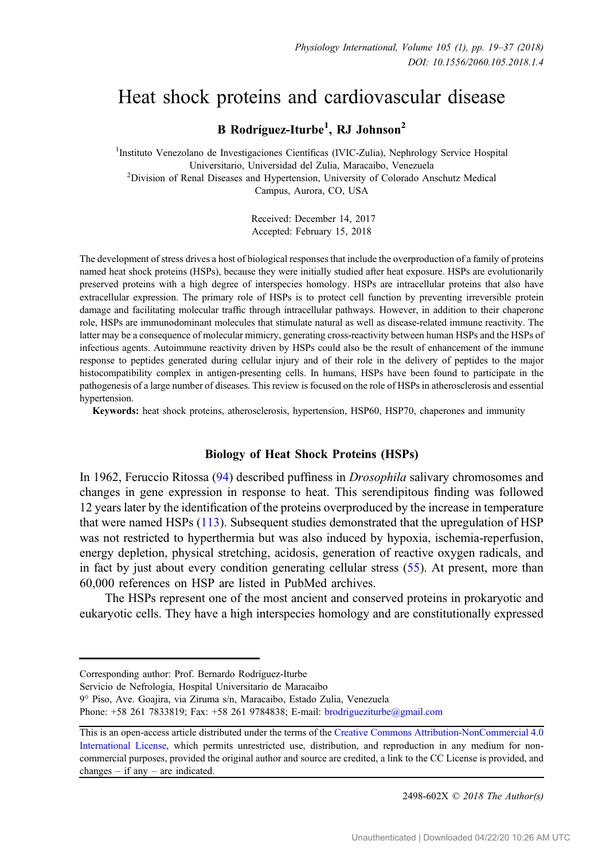# Heat shock proteins and cardiovascular disease

## B Rodríguez-Iturbe<sup>1</sup>, RJ Johnson<sup>2</sup>

<sup>1</sup>Instituto Venezolano de Investigaciones Científicas (IVIC-Zulia), Nephrology Service Hospital Universitario, Universidad del Zulia, Maracaibo, Venezuela <sup>2</sup> Division of Renal Diseases and Hypertension, University of Colorado Anschutz Medical Campus, Aurora, CO, USA

> Received: December 14, 2017 Accepted: February 15, 2018

The development of stress drives a host of biological responses that include the overproduction of a family of proteins named heat shock proteins (HSPs), because they were initially studied after heat exposure. HSPs are evolutionarily preserved proteins with a high degree of interspecies homology. HSPs are intracellular proteins that also have extracellular expression. The primary role of HSPs is to protect cell function by preventing irreversible protein damage and facilitating molecular traffic through intracellular pathways. However, in addition to their chaperone role, HSPs are immunodominant molecules that stimulate natural as well as disease-related immune reactivity. The latter may be a consequence of molecular mimicry, generating cross-reactivity between human HSPs and the HSPs of infectious agents. Autoimmune reactivity driven by HSPs could also be the result of enhancement of the immune response to peptides generated during cellular injury and of their role in the delivery of peptides to the major histocompatibility complex in antigen-presenting cells. In humans, HSPs have been found to participate in the pathogenesis of a large number of diseases. This review is focused on the role of HSPs in atherosclerosis and essential hypertension.

Keywords: heat shock proteins, atherosclerosis, hypertension, HSP60, HSP70, chaperones and immunity

## Biology of Heat Shock Proteins (HSPs)

In 1962, Feruccio Ritossa [\(94](#page-16-0)) described puffiness in Drosophila salivary chromosomes and changes in gene expression in response to heat. This serendipitous finding was followed 12 years later by the identification of the proteins overproduced by the increase in temperature that were named HSPs ([113\)](#page-17-0). Subsequent studies demonstrated that the upregulation of HSP was not restricted to hyperthermia but was also induced by hypoxia, ischemia-reperfusion, energy depletion, physical stretching, acidosis, generation of reactive oxygen radicals, and in fact by just about every condition generating cellular stress [\(55](#page-14-0)). At present, more than 60,000 references on HSP are listed in PubMed archives.

The HSPs represent one of the most ancient and conserved proteins in prokaryotic and eukaryotic cells. They have a high interspecies homology and are constitutionally expressed

Servicio de Nefrología, Hospital Universitario de Maracaibo

9° Piso, Ave. Goajira, via Ziruma s/n, Maracaibo, Estado Zulia, Venezuela

Phone: +58 261 7833819; Fax: +58 261 9784838; E-mail: [brodrigueziturbe@gmail.com](mailto:brodrigueziturbe@gmail.com)

2498-602X © 2018 The Author(s)

Corresponding author: Prof. Bernardo Rodríguez-Iturbe

This is an open-access article distributed under the terms of the [Creative Commons Attribution-NonCommercial 4.0](http://creativecommons.org/licenses/by-nc/4.0/) [International License,](http://creativecommons.org/licenses/by-nc/4.0/) which permits unrestricted use, distribution, and reproduction in any medium for noncommercial purposes, provided the original author and source are credited, a link to the CC License is provided, and changes – if any – are indicated.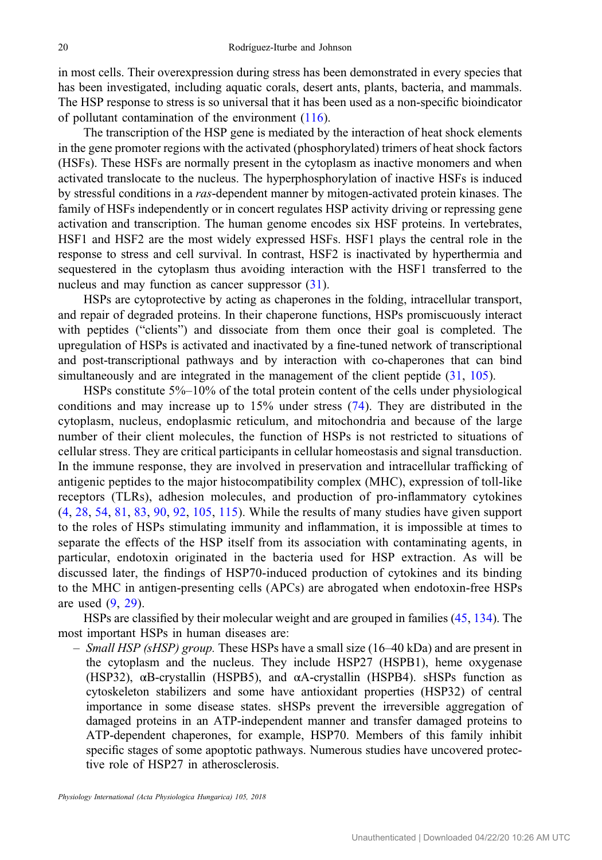in most cells. Their overexpression during stress has been demonstrated in every species that has been investigated, including aquatic corals, desert ants, plants, bacteria, and mammals. The HSP response to stress is so universal that it has been used as a non-specific bioindicator of pollutant contamination of the environment  $(116)$  $(116)$ .

The transcription of the HSP gene is mediated by the interaction of heat shock elements in the gene promoter regions with the activated (phosphorylated) trimers of heat shock factors (HSFs). These HSFs are normally present in the cytoplasm as inactive monomers and when activated translocate to the nucleus. The hyperphosphorylation of inactive HSFs is induced by stressful conditions in a ras-dependent manner by mitogen-activated protein kinases. The family of HSFs independently or in concert regulates HSP activity driving or repressing gene activation and transcription. The human genome encodes six HSF proteins. In vertebrates, HSF1 and HSF2 are the most widely expressed HSFs. HSF1 plays the central role in the response to stress and cell survival. In contrast, HSF2 is inactivated by hyperthermia and sequestered in the cytoplasm thus avoiding interaction with the HSF1 transferred to the nucleus and may function as cancer suppressor  $(31)$  $(31)$ .

HSPs are cytoprotective by acting as chaperones in the folding, intracellular transport, and repair of degraded proteins. In their chaperone functions, HSPs promiscuously interact with peptides ("clients") and dissociate from them once their goal is completed. The upregulation of HSPs is activated and inactivated by a fine-tuned network of transcriptional and post-transcriptional pathways and by interaction with co-chaperones that can bind simultaneously and are integrated in the management of the client peptide  $(31, 105)$  $(31, 105)$  $(31, 105)$  $(31, 105)$ .

HSPs constitute 5%–10% of the total protein content of the cells under physiological conditions and may increase up to 15% under stress [\(74\)](#page-15-0). They are distributed in the cytoplasm, nucleus, endoplasmic reticulum, and mitochondria and because of the large number of their client molecules, the function of HSPs is not restricted to situations of cellular stress. They are critical participants in cellular homeostasis and signal transduction. In the immune response, they are involved in preservation and intracellular trafficking of antigenic peptides to the major histocompatibility complex (MHC), expression of toll-like receptors (TLRs), adhesion molecules, and production of pro-inflammatory cytokines [\(4](#page-11-0), [28,](#page-13-0) [54](#page-14-0), [81,](#page-16-0) [83](#page-16-0), [90,](#page-16-0) [92](#page-16-0), [105,](#page-17-0) [115](#page-17-0)). While the results of many studies have given support to the roles of HSPs stimulating immunity and inflammation, it is impossible at times to separate the effects of the HSP itself from its association with contaminating agents, in particular, endotoxin originated in the bacteria used for HSP extraction. As will be discussed later, the findings of HSP70-induced production of cytokines and its binding to the MHC in antigen-presenting cells (APCs) are abrogated when endotoxin-free HSPs are used [\(9](#page-11-0), [29\)](#page-13-0).

HSPs are classified by their molecular weight and are grouped in families ([45,](#page-14-0) [134\)](#page-18-0). The most important HSPs in human diseases are:

– Small HSP (sHSP) group. These HSPs have a small size  $(16-40 \text{ kDa})$  and are present in the cytoplasm and the nucleus. They include HSP27 (HSPB1), heme oxygenase (HSP32), αB-crystallin (HSPB5), and αA-crystallin (HSPB4). sHSPs function as cytoskeleton stabilizers and some have antioxidant properties (HSP32) of central importance in some disease states. sHSPs prevent the irreversible aggregation of damaged proteins in an ATP-independent manner and transfer damaged proteins to ATP-dependent chaperones, for example, HSP70. Members of this family inhibit specific stages of some apoptotic pathways. Numerous studies have uncovered protective role of HSP27 in atherosclerosis.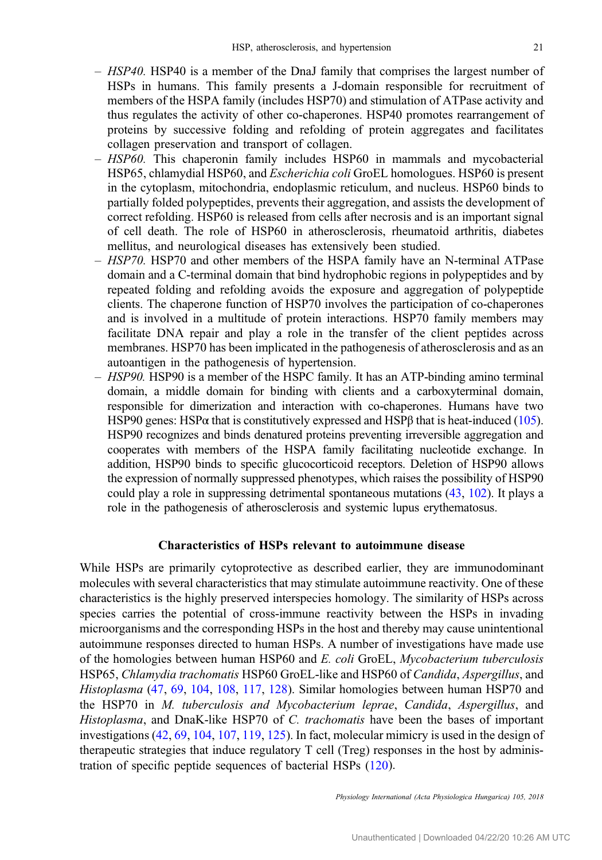- $-$  HSP40. HSP40 is a member of the DnaJ family that comprises the largest number of HSPs in humans. This family presents a J-domain responsible for recruitment of members of the HSPA family (includes HSP70) and stimulation of ATPase activity and thus regulates the activity of other co-chaperones. HSP40 promotes rearrangement of proteins by successive folding and refolding of protein aggregates and facilitates collagen preservation and transport of collagen.
- HSP60. This chaperonin family includes HSP60 in mammals and mycobacterial HSP65, chlamydial HSP60, and *Escherichia coli* GroEL homologues. HSP60 is present in the cytoplasm, mitochondria, endoplasmic reticulum, and nucleus. HSP60 binds to partially folded polypeptides, prevents their aggregation, and assists the development of correct refolding. HSP60 is released from cells after necrosis and is an important signal of cell death. The role of HSP60 in atherosclerosis, rheumatoid arthritis, diabetes mellitus, and neurological diseases has extensively been studied.
- HSP70. HSP70 and other members of the HSPA family have an N-terminal ATPase domain and a C-terminal domain that bind hydrophobic regions in polypeptides and by repeated folding and refolding avoids the exposure and aggregation of polypeptide clients. The chaperone function of HSP70 involves the participation of co-chaperones and is involved in a multitude of protein interactions. HSP70 family members may facilitate DNA repair and play a role in the transfer of the client peptides across membranes. HSP70 has been implicated in the pathogenesis of atherosclerosis and as an autoantigen in the pathogenesis of hypertension.
- HSP90. HSP90 is a member of the HSPC family. It has an ATP-binding amino terminal domain, a middle domain for binding with clients and a carboxyterminal domain, responsible for dimerization and interaction with co-chaperones. Humans have two HSP90 genes: HSP $\alpha$  that is constitutively expressed and HSP $\beta$  that is heat-induced ([105](#page-17-0)). HSP90 recognizes and binds denatured proteins preventing irreversible aggregation and cooperates with members of the HSPA family facilitating nucleotide exchange. In addition, HSP90 binds to specific glucocorticoid receptors. Deletion of HSP90 allows the expression of normally suppressed phenotypes, which raises the possibility of HSP90 could play a role in suppressing detrimental spontaneous mutations [\(43](#page-14-0), [102](#page-17-0)). It plays a role in the pathogenesis of atherosclerosis and systemic lupus erythematosus.

## Characteristics of HSPs relevant to autoimmune disease

While HSPs are primarily cytoprotective as described earlier, they are immunodominant molecules with several characteristics that may stimulate autoimmune reactivity. One of these characteristics is the highly preserved interspecies homology. The similarity of HSPs across species carries the potential of cross-immune reactivity between the HSPs in invading microorganisms and the corresponding HSPs in the host and thereby may cause unintentional autoimmune responses directed to human HSPs. A number of investigations have made use of the homologies between human HSP60 and E. coli GroEL, Mycobacterium tuberculosis HSP65, Chlamydia trachomatis HSP60 GroEL-like and HSP60 of Candida, Aspergillus, and Histoplasma ([47,](#page-14-0) [69](#page-15-0), [104,](#page-17-0) [108](#page-17-0), [117,](#page-17-0) [128\)](#page-18-0). Similar homologies between human HSP70 and the HSP70 in M. tuberculosis and Mycobacterium leprae, Candida, Aspergillus, and Histoplasma, and DnaK-like HSP70 of C. trachomatis have been the bases of important investigations [\(42](#page-14-0), [69,](#page-15-0) [104,](#page-17-0) [107](#page-17-0), [119,](#page-17-0) [125](#page-18-0)). In fact, molecular mimicry is used in the design of therapeutic strategies that induce regulatory T cell (Treg) responses in the host by administration of specific peptide sequences of bacterial HSPs [\(120](#page-17-0)).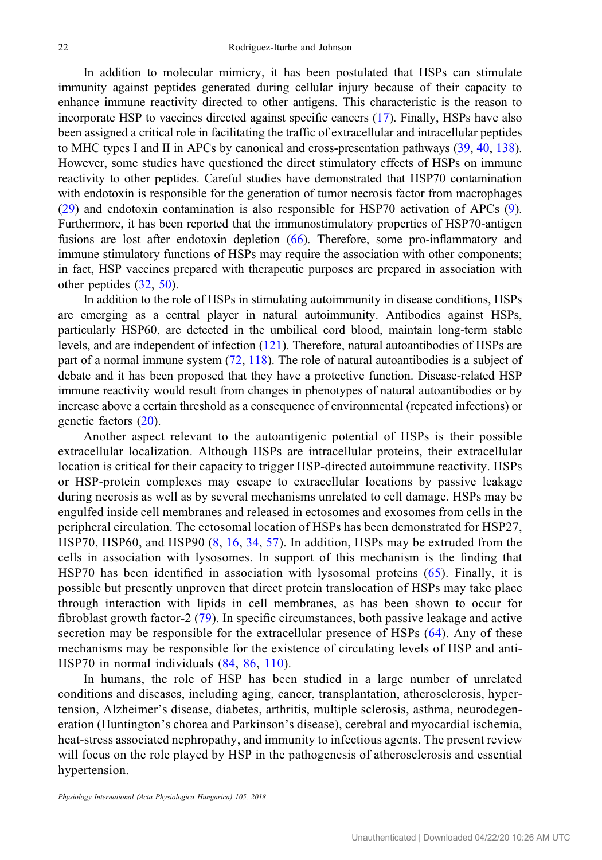In addition to molecular mimicry, it has been postulated that HSPs can stimulate immunity against peptides generated during cellular injury because of their capacity to enhance immune reactivity directed to other antigens. This characteristic is the reason to incorporate HSP to vaccines directed against specific cancers ([17\)](#page-12-0). Finally, HSPs have also been assigned a critical role in facilitating the traffic of extracellular and intracellular peptides to MHC types I and II in APCs by canonical and cross-presentation pathways ([39,](#page-13-0) [40](#page-13-0), [138](#page-18-0)). However, some studies have questioned the direct stimulatory effects of HSPs on immune reactivity to other peptides. Careful studies have demonstrated that HSP70 contamination with endotoxin is responsible for the generation of tumor necrosis factor from macrophages [\(29](#page-13-0)) and endotoxin contamination is also responsible for HSP70 activation of APCs [\(9](#page-11-0)). Furthermore, it has been reported that the immunostimulatory properties of HSP70-antigen fusions are lost after endotoxin depletion ([66\)](#page-15-0). Therefore, some pro-inflammatory and immune stimulatory functions of HSPs may require the association with other components; in fact, HSP vaccines prepared with therapeutic purposes are prepared in association with other peptides ([32,](#page-13-0) [50\)](#page-14-0).

In addition to the role of HSPs in stimulating autoimmunity in disease conditions, HSPs are emerging as a central player in natural autoimmunity. Antibodies against HSPs, particularly HSP60, are detected in the umbilical cord blood, maintain long-term stable levels, and are independent of infection [\(121](#page-17-0)). Therefore, natural autoantibodies of HSPs are part of a normal immune system [\(72](#page-15-0), [118\)](#page-17-0). The role of natural autoantibodies is a subject of debate and it has been proposed that they have a protective function. Disease-related HSP immune reactivity would result from changes in phenotypes of natural autoantibodies or by increase above a certain threshold as a consequence of environmental (repeated infections) or genetic factors ([20\)](#page-12-0).

Another aspect relevant to the autoantigenic potential of HSPs is their possible extracellular localization. Although HSPs are intracellular proteins, their extracellular location is critical for their capacity to trigger HSP-directed autoimmune reactivity. HSPs or HSP-protein complexes may escape to extracellular locations by passive leakage during necrosis as well as by several mechanisms unrelated to cell damage. HSPs may be engulfed inside cell membranes and released in ectosomes and exosomes from cells in the peripheral circulation. The ectosomal location of HSPs has been demonstrated for HSP27, HSP70, HSP60, and HSP90 [\(8](#page-11-0), [16](#page-12-0), [34](#page-13-0), [57\)](#page-14-0). In addition, HSPs may be extruded from the cells in association with lysosomes. In support of this mechanism is the finding that HSP70 has been identified in association with lysosomal proteins ([65](#page-15-0)). Finally, it is possible but presently unproven that direct protein translocation of HSPs may take place through interaction with lipids in cell membranes, as has been shown to occur for fibroblast growth factor-2 [\(79\)](#page-16-0). In specific circumstances, both passive leakage and active secretion may be responsible for the extracellular presence of HSPs ([64](#page-15-0)). Any of these mechanisms may be responsible for the existence of circulating levels of HSP and anti-HSP70 in normal individuals ([84](#page-16-0), [86,](#page-16-0) [110\)](#page-17-0).

In humans, the role of HSP has been studied in a large number of unrelated conditions and diseases, including aging, cancer, transplantation, atherosclerosis, hypertension, Alzheimer's disease, diabetes, arthritis, multiple sclerosis, asthma, neurodegeneration (Huntington's chorea and Parkinson's disease), cerebral and myocardial ischemia, heat-stress associated nephropathy, and immunity to infectious agents. The present review will focus on the role played by HSP in the pathogenesis of atherosclerosis and essential hypertension.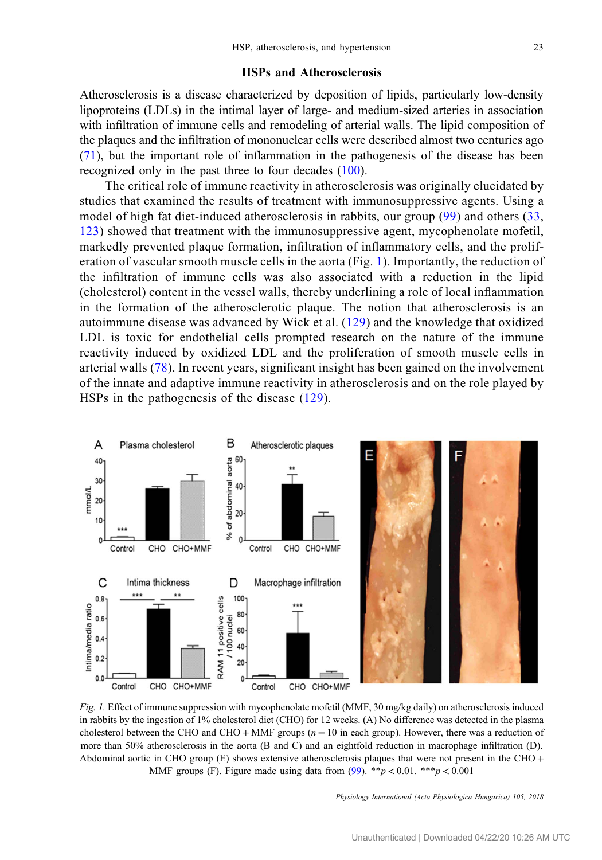## HSPs and Atherosclerosis

Atherosclerosis is a disease characterized by deposition of lipids, particularly low-density lipoproteins (LDLs) in the intimal layer of large- and medium-sized arteries in association with infiltration of immune cells and remodeling of arterial walls. The lipid composition of the plaques and the infiltration of mononuclear cells were described almost two centuries ago [\(71](#page-15-0)), but the important role of inflammation in the pathogenesis of the disease has been recognized only in the past three to four decades ([100\)](#page-17-0).

The critical role of immune reactivity in atherosclerosis was originally elucidated by studies that examined the results of treatment with immunosuppressive agents. Using a model of high fat diet-induced atherosclerosis in rabbits, our group ([99](#page-17-0)) and others ([33,](#page-13-0) [123\)](#page-18-0) showed that treatment with the immunosuppressive agent, mycophenolate mofetil, markedly prevented plaque formation, infiltration of inflammatory cells, and the proliferation of vascular smooth muscle cells in the aorta (Fig. 1). Importantly, the reduction of the infiltration of immune cells was also associated with a reduction in the lipid (cholesterol) content in the vessel walls, thereby underlining a role of local inflammation in the formation of the atherosclerotic plaque. The notion that atherosclerosis is an autoimmune disease was advanced by Wick et al. ([129](#page-18-0)) and the knowledge that oxidized LDL is toxic for endothelial cells prompted research on the nature of the immune reactivity induced by oxidized LDL and the proliferation of smooth muscle cells in arterial walls [\(78\)](#page-16-0). In recent years, significant insight has been gained on the involvement of the innate and adaptive immune reactivity in atherosclerosis and on the role played by HSPs in the pathogenesis of the disease [\(129](#page-18-0)).



Fig. 1. Effect of immune suppression with mycophenolate mofetil (MMF, 30 mg/kg daily) on atherosclerosis induced in rabbits by the ingestion of 1% cholesterol diet (CHO) for 12 weeks. (A) No difference was detected in the plasma cholesterol between the CHO and CHO + MMF groups  $(n = 10$  in each group). However, there was a reduction of more than 50% atherosclerosis in the aorta (B and C) and an eightfold reduction in macrophage infiltration (D). Abdominal aortic in CHO group (E) shows extensive atherosclerosis plaques that were not present in the CHO + MMF groups (F). Figure made using data from  $(99)$  $(99)$ . \*\*p < 0.01. \*\*\*p < 0.001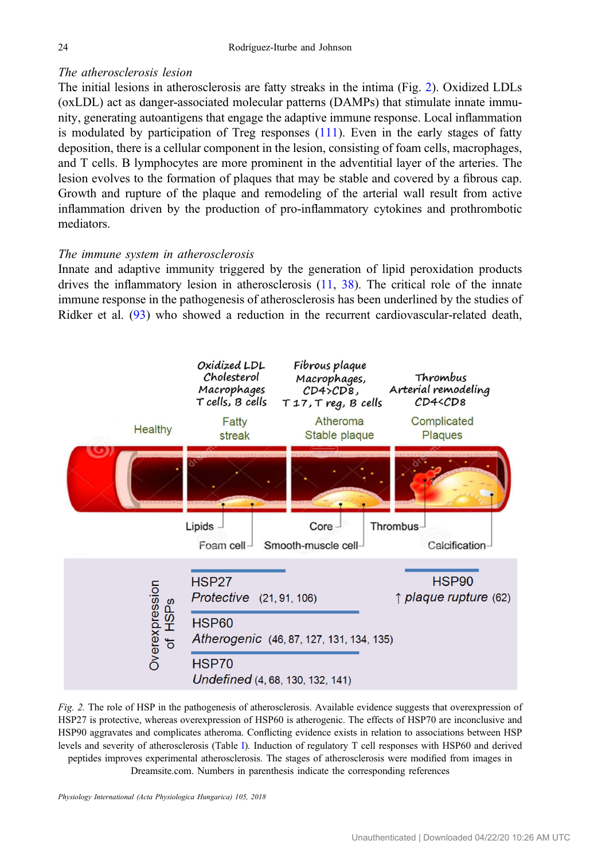## <span id="page-5-0"></span>The atherosclerosis lesion

The initial lesions in atherosclerosis are fatty streaks in the intima (Fig. 2). Oxidized LDLs (oxLDL) act as danger-associated molecular patterns (DAMPs) that stimulate innate immunity, generating autoantigens that engage the adaptive immune response. Local inflammation is modulated by participation of Treg responses  $(111)$  $(111)$  $(111)$ . Even in the early stages of fatty deposition, there is a cellular component in the lesion, consisting of foam cells, macrophages, and T cells. B lymphocytes are more prominent in the adventitial layer of the arteries. The lesion evolves to the formation of plaques that may be stable and covered by a fibrous cap. Growth and rupture of the plaque and remodeling of the arterial wall result from active inflammation driven by the production of pro-inflammatory cytokines and prothrombotic mediators.

## The immune system in atherosclerosis

Innate and adaptive immunity triggered by the generation of lipid peroxidation products drives the inflammatory lesion in atherosclerosis ([11,](#page-11-0) [38](#page-13-0)). The critical role of the innate immune response in the pathogenesis of atherosclerosis has been underlined by the studies of Ridker et al. ([93\)](#page-16-0) who showed a reduction in the recurrent cardiovascular-related death,



Fig. 2. The role of HSP in the pathogenesis of atherosclerosis. Available evidence suggests that overexpression of HSP27 is protective, whereas overexpression of HSP60 is atherogenic. The effects of HSP70 are inconclusive and HSP90 aggravates and complicates atheroma. Conflicting evidence exists in relation to associations between HSP levels and severity of atherosclerosis (Table [I](#page-7-0)). Induction of regulatory T cell responses with HSP60 and derived peptides improves experimental atherosclerosis. The stages of atherosclerosis were modified from images in

Dreamsite.com. Numbers in parenthesis indicate the corresponding references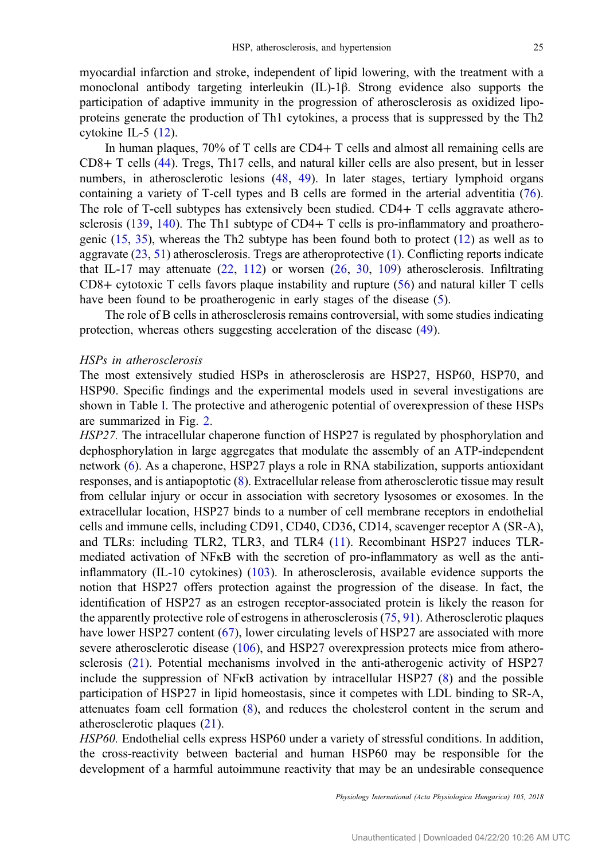myocardial infarction and stroke, independent of lipid lowering, with the treatment with a monoclonal antibody targeting interleukin (IL)-1β. Strong evidence also supports the participation of adaptive immunity in the progression of atherosclerosis as oxidized lipoproteins generate the production of Th1 cytokines, a process that is suppressed by the Th2 cytokine IL-5 ([12\)](#page-12-0).

In human plaques, 70% of T cells are CD4+ T cells and almost all remaining cells are CD8+ T cells [\(44](#page-14-0)). Tregs, Th17 cells, and natural killer cells are also present, but in lesser numbers, in atherosclerotic lesions [\(48](#page-14-0), [49](#page-14-0)). In later stages, tertiary lymphoid organs containing a variety of T-cell types and B cells are formed in the arterial adventitia [\(76](#page-16-0)). The role of T-cell subtypes has extensively been studied. CD4+ T cells aggravate atherosclerosis [\(139](#page-18-0), [140\)](#page-18-0). The Th1 subtype of CD4+ T cells is pro-inflammatory and proatherogenic [\(15](#page-12-0), [35\)](#page-13-0), whereas the Th2 subtype has been found both to protect [\(12](#page-12-0)) as well as to aggravate ([23,](#page-12-0) [51\)](#page-14-0) atherosclerosis. Tregs are atheroprotective [\(1](#page-11-0)). Conflicting reports indicate that IL-17 may attenuate  $(22, 112)$  $(22, 112)$  $(22, 112)$  $(22, 112)$  or worsen  $(26, 30, 109)$  $(26, 30, 109)$  $(26, 30, 109)$  $(26, 30, 109)$  $(26, 30, 109)$  $(26, 30, 109)$  atherosclerosis. Infiltrating CD8+ cytotoxic T cells favors plaque instability and rupture ([56\)](#page-14-0) and natural killer T cells have been found to be proatherogenic in early stages of the disease [\(5](#page-11-0)).

The role of B cells in atherosclerosis remains controversial, with some studies indicating protection, whereas others suggesting acceleration of the disease ([49\)](#page-14-0).

#### HSPs in atherosclerosis

The most extensively studied HSPs in atherosclerosis are HSP27, HSP60, HSP70, and HSP90. Specific findings and the experimental models used in several investigations are shown in Table [I.](#page-7-0) The protective and atherogenic potential of overexpression of these HSPs are summarized in Fig. [2.](#page-5-0)

HSP27. The intracellular chaperone function of HSP27 is regulated by phosphorylation and dephosphorylation in large aggregates that modulate the assembly of an ATP-independent network [\(6](#page-11-0)). As a chaperone, HSP27 plays a role in RNA stabilization, supports antioxidant responses, and is antiapoptotic [\(8](#page-11-0)). Extracellular release from atherosclerotic tissue may result from cellular injury or occur in association with secretory lysosomes or exosomes. In the extracellular location, HSP27 binds to a number of cell membrane receptors in endothelial cells and immune cells, including CD91, CD40, CD36, CD14, scavenger receptor A (SR-A), and TLRs: including TLR2, TLR3, and TLR4 ([11\)](#page-11-0). Recombinant HSP27 induces TLRmediated activation of NFκB with the secretion of pro-inflammatory as well as the antiinflammatory (IL-10 cytokines) ([103\)](#page-17-0). In atherosclerosis, available evidence supports the notion that HSP27 offers protection against the progression of the disease. In fact, the identification of HSP27 as an estrogen receptor-associated protein is likely the reason for the apparently protective role of estrogens in atherosclerosis [\(75](#page-16-0), [91\)](#page-16-0). Atherosclerotic plaques have lower HSP27 content ([67\)](#page-15-0), lower circulating levels of HSP27 are associated with more severe atherosclerotic disease [\(106](#page-17-0)), and HSP27 overexpression protects mice from atherosclerosis ([21\)](#page-12-0). Potential mechanisms involved in the anti-atherogenic activity of HSP27 include the suppression of NFκB activation by intracellular HSP27 [\(8](#page-11-0)) and the possible participation of HSP27 in lipid homeostasis, since it competes with LDL binding to SR-A, attenuates foam cell formation [\(8](#page-11-0)), and reduces the cholesterol content in the serum and atherosclerotic plaques ([21\)](#page-12-0).

HSP60. Endothelial cells express HSP60 under a variety of stressful conditions. In addition, the cross-reactivity between bacterial and human HSP60 may be responsible for the development of a harmful autoimmune reactivity that may be an undesirable consequence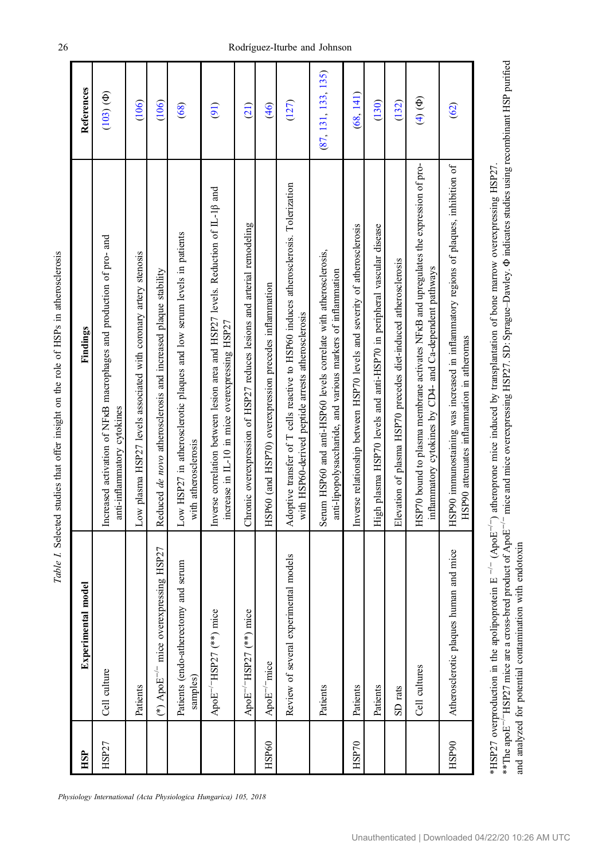| こうしょう へきまん                                     |
|------------------------------------------------|
|                                                |
| J                                              |
| $\frac{1}{2}$                                  |
|                                                |
| :                                              |
| $\sim$ 10. The state of the figure $\sim$<br>i |
| I<br>$\mathbf{I}$                              |
| i                                              |
| i                                              |
|                                                |
|                                                |
| $\overline{r}$<br>۱                            |

<span id="page-7-0"></span>

| <b>HSP</b> | tal model<br>Experimen                            | Findings                                                                                                                                         | References          |
|------------|---------------------------------------------------|--------------------------------------------------------------------------------------------------------------------------------------------------|---------------------|
| HSP27      | Cell culture                                      | Increased activation of NFKB macrophages and production of pro- and<br>anti-inflammatory cytokines                                               | $(103)(\Phi)$       |
|            | Patients                                          | Low plasma HSP27 levels associated with coronary artery stenosis                                                                                 | (106)               |
|            | (*) ApoE <sup>-/-</sup> mice overexpressing HSP27 | Reduced <i>de novo</i> atherosclerosis and increased plaque stability                                                                            | (106)               |
|            | Patients (endo-atherectomy and serum<br>samples)  | Low HSP27 in atherosclerotic plaques and low serum levels in patients<br>with atherosclerosis                                                    | (68)                |
|            | ApoE <sup>-/-</sup> HSP27 (**) mice               | Inverse correlation between lesion area and HSP27 levels. Reduction of IL-1ß and<br>increase in L-10 in mice overexpressing HSP27                | (91)                |
|            | ApoE <sup>-/-</sup> HSP27 <sup>(**)</sup> mice    | Chronic overexpression of HSP27 reduces lesions and arterial remodeling                                                                          | (21)                |
| HSP60      | ApoE <sup>-/-</sup> mice                          | HSP60 (and HSP70) overexpression precedes inflammation                                                                                           | (46)                |
|            | Review of several experimental models             | Adoptive transfer of T cells reactive to HSP60 induces atherosclerosis. Tolerization<br>with HSP60-derived peptide arrests atherosclerosis       | (127)               |
|            | Patients                                          | Serum HSP60 and anti-HSP60 levels correlate with atherosclerosis,<br>anti-lipopolysaccharide, and various markers of inflammation                | (87, 131, 133, 135) |
| HSP70      | Patients                                          | Inverse relationship between HSP70 levels and severity of atherosclerosis                                                                        | (68, 141)           |
|            | Patients                                          | High plasma HSP70 levels and anti-HSP70 in peripheral vascular disease                                                                           | (130)               |
|            | SD rats                                           | Elevation of plasma HSP70 precedes diet-induced atherosclerosis                                                                                  | (132)               |
|            | Cell cultures                                     | HSP70 bound to plasma membrane activates NFkB and upregulates the expression of pro-<br>inflammatory cytokines by CD4- and Ca-dependent pathways | $\widehat{\Theta}$  |
| HSP90      | human and mice<br>Atherosclerotic plaques         | HSP90 immunostaining was increased in inflammatory regions of plaques, inhibition of<br>HSP90 attenuates inflammation in atheromas               | (62)                |
|            | $\sum_{i=1}^{n}$                                  | $\Gamma = \frac{1}{2} + \frac{1}{4}$ afterward the control of $\frac{1}{4}$ .                                                                    |                     |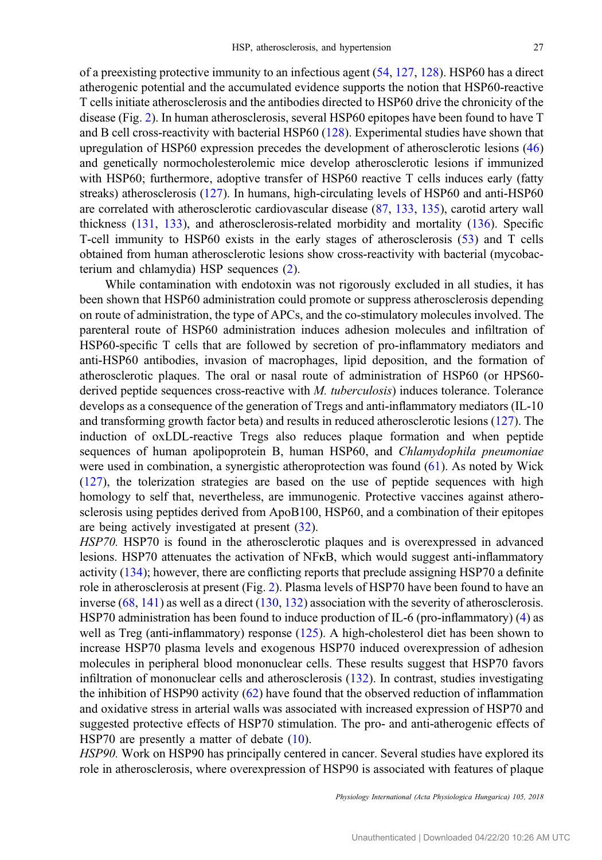of a preexisting protective immunity to an infectious agent ([54,](#page-14-0) [127,](#page-18-0) [128](#page-18-0)). HSP60 has a direct atherogenic potential and the accumulated evidence supports the notion that HSP60-reactive T cells initiate atherosclerosis and the antibodies directed to HSP60 drive the chronicity of the disease (Fig. [2\)](#page-5-0). In human atherosclerosis, several HSP60 epitopes have been found to have T and B cell cross-reactivity with bacterial HSP60 ([128\)](#page-18-0). Experimental studies have shown that upregulation of HSP60 expression precedes the development of atherosclerotic lesions ([46\)](#page-14-0) and genetically normocholesterolemic mice develop atherosclerotic lesions if immunized with HSP60; furthermore, adoptive transfer of HSP60 reactive T cells induces early (fatty streaks) atherosclerosis [\(127](#page-18-0)). In humans, high-circulating levels of HSP60 and anti-HSP60 are correlated with atherosclerotic cardiovascular disease [\(87](#page-16-0), [133,](#page-18-0) [135](#page-18-0)), carotid artery wall thickness ([131,](#page-18-0) [133\)](#page-18-0), and atherosclerosis-related morbidity and mortality ([136\)](#page-18-0). Specific T-cell immunity to HSP60 exists in the early stages of atherosclerosis [\(53](#page-14-0)) and T cells obtained from human atherosclerotic lesions show cross-reactivity with bacterial (mycobacterium and chlamydia) HSP sequences ([2\)](#page-11-0).

While contamination with endotoxin was not rigorously excluded in all studies, it has been shown that HSP60 administration could promote or suppress atherosclerosis depending on route of administration, the type of APCs, and the co-stimulatory molecules involved. The parenteral route of HSP60 administration induces adhesion molecules and infiltration of HSP60-specific T cells that are followed by secretion of pro-inflammatory mediators and anti-HSP60 antibodies, invasion of macrophages, lipid deposition, and the formation of atherosclerotic plaques. The oral or nasal route of administration of HSP60 (or HPS60 derived peptide sequences cross-reactive with M. tuberculosis) induces tolerance. Tolerance develops as a consequence of the generation of Tregs and anti-inflammatory mediators (IL-10 and transforming growth factor beta) and results in reduced atherosclerotic lesions ([127\)](#page-18-0). The induction of oxLDL-reactive Tregs also reduces plaque formation and when peptide sequences of human apolipoprotein B, human HSP60, and Chlamydophila pneumoniae were used in combination, a synergistic atheroprotection was found ([61\)](#page-15-0). As noted by Wick [\(127](#page-18-0)), the tolerization strategies are based on the use of peptide sequences with high homology to self that, nevertheless, are immunogenic. Protective vaccines against atherosclerosis using peptides derived from ApoB100, HSP60, and a combination of their epitopes are being actively investigated at present [\(32](#page-13-0)).

HSP70. HSP70 is found in the atherosclerotic plaques and is overexpressed in advanced lesions. HSP70 attenuates the activation of NFκB, which would suggest anti-inflammatory activity [\(134](#page-18-0)); however, there are conflicting reports that preclude assigning HSP70 a definite role in atherosclerosis at present (Fig. [2\)](#page-5-0). Plasma levels of HSP70 have been found to have an inverse ([68,](#page-15-0) [141](#page-18-0)) as well as a direct [\(130](#page-18-0), [132](#page-18-0)) association with the severity of atherosclerosis. HSP70 administration has been found to induce production of IL-6 (pro-inflammatory) [\(4](#page-11-0)) as well as Treg (anti-inflammatory) response [\(125](#page-18-0)). A high-cholesterol diet has been shown to increase HSP70 plasma levels and exogenous HSP70 induced overexpression of adhesion molecules in peripheral blood mononuclear cells. These results suggest that HSP70 favors infiltration of mononuclear cells and atherosclerosis ([132\)](#page-18-0). In contrast, studies investigating the inhibition of HSP90 activity ([62\)](#page-15-0) have found that the observed reduction of inflammation and oxidative stress in arterial walls was associated with increased expression of HSP70 and suggested protective effects of HSP70 stimulation. The pro- and anti-atherogenic effects of HSP70 are presently a matter of debate ([10\)](#page-11-0).

HSP90. Work on HSP90 has principally centered in cancer. Several studies have explored its role in atherosclerosis, where overexpression of HSP90 is associated with features of plaque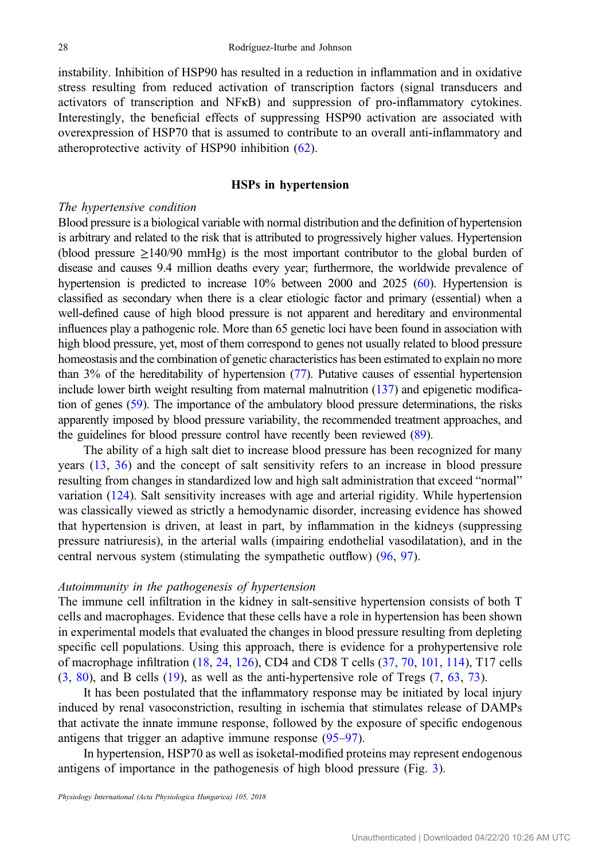instability. Inhibition of HSP90 has resulted in a reduction in inflammation and in oxidative stress resulting from reduced activation of transcription factors (signal transducers and activators of transcription and NFκB) and suppression of pro-inflammatory cytokines. Interestingly, the beneficial effects of suppressing HSP90 activation are associated with overexpression of HSP70 that is assumed to contribute to an overall anti-inflammatory and atheroprotective activity of HSP90 inhibition ([62\)](#page-15-0).

## HSPs in hypertension

#### The hypertensive condition

Blood pressure is a biological variable with normal distribution and the definition of hypertension is arbitrary and related to the risk that is attributed to progressively higher values. Hypertension (blood pressure  $\geq$ 140/90 mmHg) is the most important contributor to the global burden of disease and causes 9.4 million deaths every year; furthermore, the worldwide prevalence of hypertension is predicted to increase 10% between 2000 and 2025 [\(60\)](#page-14-0). Hypertension is classified as secondary when there is a clear etiologic factor and primary (essential) when a well-defined cause of high blood pressure is not apparent and hereditary and environmental influences play a pathogenic role. More than 65 genetic loci have been found in association with high blood pressure, yet, most of them correspond to genes not usually related to blood pressure homeostasis and the combination of genetic characteristics has been estimated to explain no more than 3% of the hereditability of hypertension ([77](#page-16-0)). Putative causes of essential hypertension include lower birth weight resulting from maternal malnutrition [\(137\)](#page-18-0) and epigenetic modification of genes [\(59\)](#page-14-0). The importance of the ambulatory blood pressure determinations, the risks apparently imposed by blood pressure variability, the recommended treatment approaches, and the guidelines for blood pressure control have recently been reviewed ([89](#page-16-0)).

The ability of a high salt diet to increase blood pressure has been recognized for many years [\(13](#page-12-0), [36\)](#page-13-0) and the concept of salt sensitivity refers to an increase in blood pressure resulting from changes in standardized low and high salt administration that exceed "normal" variation ([124\)](#page-18-0). Salt sensitivity increases with age and arterial rigidity. While hypertension was classically viewed as strictly a hemodynamic disorder, increasing evidence has showed that hypertension is driven, at least in part, by inflammation in the kidneys (suppressing pressure natriuresis), in the arterial walls (impairing endothelial vasodilatation), and in the central nervous system (stimulating the sympathetic outflow) ([96,](#page-16-0) [97\)](#page-16-0).

#### Autoimmunity in the pathogenesis of hypertension

The immune cell infiltration in the kidney in salt-sensitive hypertension consists of both T cells and macrophages. Evidence that these cells have a role in hypertension has been shown in experimental models that evaluated the changes in blood pressure resulting from depleting specific cell populations. Using this approach, there is evidence for a prohypertensive role of macrophage infiltration ([18,](#page-12-0) [24,](#page-12-0) [126](#page-18-0)), CD4 and CD8 T cells [\(37](#page-13-0), [70](#page-15-0), [101,](#page-17-0) [114\)](#page-17-0), T17 cells [\(3](#page-11-0), [80](#page-16-0)), and B cells [\(19](#page-12-0)), as well as the anti-hypertensive role of Tregs [\(7](#page-11-0), [63](#page-15-0), [73](#page-15-0)).

It has been postulated that the inflammatory response may be initiated by local injury induced by renal vasoconstriction, resulting in ischemia that stimulates release of DAMPs that activate the innate immune response, followed by the exposure of specific endogenous antigens that trigger an adaptive immune response [\(95](#page-16-0)–[97](#page-16-0)).

In hypertension, HSP70 as well as isoketal-modified proteins may represent endogenous antigens of importance in the pathogenesis of high blood pressure (Fig. [3](#page-10-0)).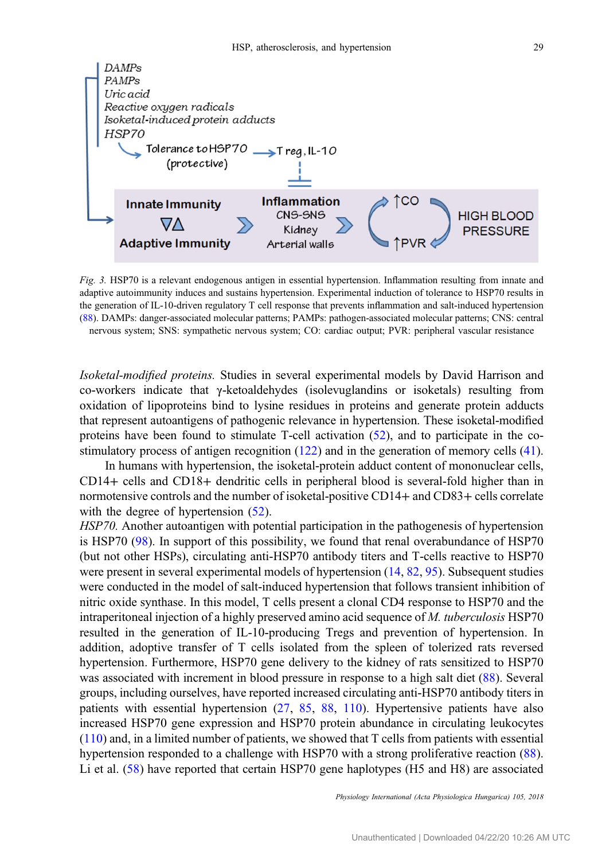<span id="page-10-0"></span>

Fig. 3. HSP70 is a relevant endogenous antigen in essential hypertension. Inflammation resulting from innate and adaptive autoimmunity induces and sustains hypertension. Experimental induction of tolerance to HSP70 results in the generation of IL-10-driven regulatory T cell response that prevents inflammation and salt-induced hypertension ([88\)](#page-16-0). DAMPs: danger-associated molecular patterns; PAMPs: pathogen-associated molecular patterns; CNS: central

nervous system; SNS: sympathetic nervous system; CO: cardiac output; PVR: peripheral vascular resistance

Isoketal-modified proteins. Studies in several experimental models by David Harrison and co-workers indicate that γ-ketoaldehydes (isolevuglandins or isoketals) resulting from oxidation of lipoproteins bind to lysine residues in proteins and generate protein adducts that represent autoantigens of pathogenic relevance in hypertension. These isoketal-modified proteins have been found to stimulate T-cell activation  $(52)$  $(52)$ , and to participate in the costimulatory process of antigen recognition [\(122](#page-18-0)) and in the generation of memory cells [\(41](#page-14-0)).

In humans with hypertension, the isoketal-protein adduct content of mononuclear cells, CD14+ cells and CD18+ dendritic cells in peripheral blood is several-fold higher than in normotensive controls and the number of isoketal-positive CD14+ and CD83+ cells correlate with the degree of hypertension  $(52)$  $(52)$ .

HSP70. Another autoantigen with potential participation in the pathogenesis of hypertension is HSP70 [\(98](#page-16-0)). In support of this possibility, we found that renal overabundance of HSP70 (but not other HSPs), circulating anti-HSP70 antibody titers and T-cells reactive to HSP70 were present in several experimental models of hypertension [\(14](#page-12-0), [82,](#page-16-0) [95](#page-16-0)). Subsequent studies were conducted in the model of salt-induced hypertension that follows transient inhibition of nitric oxide synthase. In this model, T cells present a clonal CD4 response to HSP70 and the intraperitoneal injection of a highly preserved amino acid sequence of M. tuberculosis HSP70 resulted in the generation of IL-10-producing Tregs and prevention of hypertension. In addition, adoptive transfer of T cells isolated from the spleen of tolerized rats reversed hypertension. Furthermore, HSP70 gene delivery to the kidney of rats sensitized to HSP70 was associated with increment in blood pressure in response to a high salt diet ([88\)](#page-16-0). Several groups, including ourselves, have reported increased circulating anti-HSP70 antibody titers in patients with essential hypertension [\(27](#page-13-0), [85,](#page-16-0) [88](#page-16-0), [110](#page-17-0)). Hypertensive patients have also increased HSP70 gene expression and HSP70 protein abundance in circulating leukocytes [\(110](#page-17-0)) and, in a limited number of patients, we showed that T cells from patients with essential hypertension responded to a challenge with HSP70 with a strong proliferative reaction [\(88](#page-16-0)). Li et al. [\(58](#page-14-0)) have reported that certain HSP70 gene haplotypes (H5 and H8) are associated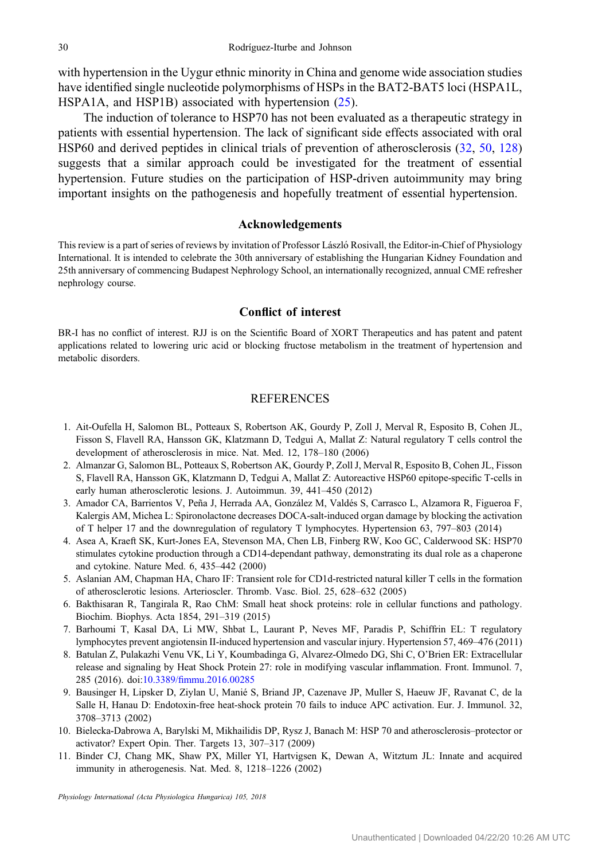<span id="page-11-0"></span>with hypertension in the Uygur ethnic minority in China and genome wide association studies have identified single nucleotide polymorphisms of HSPs in the BAT2-BAT5 loci (HSPA1L, HSPA1A, and HSP1B) associated with hypertension [\(25\)](#page-12-0).

The induction of tolerance to HSP70 has not been evaluated as a therapeutic strategy in patients with essential hypertension. The lack of significant side effects associated with oral HSP60 and derived peptides in clinical trials of prevention of atherosclerosis [\(32](#page-13-0), [50](#page-14-0), [128\)](#page-18-0) suggests that a similar approach could be investigated for the treatment of essential hypertension. Future studies on the participation of HSP-driven autoimmunity may bring important insights on the pathogenesis and hopefully treatment of essential hypertension.

## Acknowledgements

This review is a part of series of reviews by invitation of Professor László Rosivall, the Editor-in-Chief of Physiology International. It is intended to celebrate the 30th anniversary of establishing the Hungarian Kidney Foundation and 25th anniversary of commencing Budapest Nephrology School, an internationally recognized, annual CME refresher nephrology course.

## Conflict of interest

BR-I has no conflict of interest. RJJ is on the Scientific Board of XORT Therapeutics and has patent and patent applications related to lowering uric acid or blocking fructose metabolism in the treatment of hypertension and metabolic disorders.

## **REFERENCES**

- 1. Ait-Oufella H, Salomon BL, Potteaux S, Robertson AK, Gourdy P, Zoll J, Merval R, Esposito B, Cohen JL, Fisson S, Flavell RA, Hansson GK, Klatzmann D, Tedgui A, Mallat Z: Natural regulatory T cells control the development of atherosclerosis in mice. Nat. Med. 12, 178–180 (2006)
- 2. Almanzar G, Salomon BL, Potteaux S, Robertson AK, Gourdy P, Zoll J, Merval R, Esposito B, Cohen JL, Fisson S, Flavell RA, Hansson GK, Klatzmann D, Tedgui A, Mallat Z: Autoreactive HSP60 epitope-specific T-cells in early human atherosclerotic lesions. J. Autoimmun. 39, 441–450 (2012)
- 3. Amador CA, Barrientos V, Peña J, Herrada AA, González M, Valdés S, Carrasco L, Alzamora R, Figueroa F, Kalergis AM, Michea L: Spironolactone decreases DOCA-salt-induced organ damage by blocking the activation of T helper 17 and the downregulation of regulatory T lymphocytes. Hypertension 63, 797–803 (2014)
- 4. Asea A, Kraeft SK, Kurt-Jones EA, Stevenson MA, Chen LB, Finberg RW, Koo GC, Calderwood SK: HSP70 stimulates cytokine production through a CD14-dependant pathway, demonstrating its dual role as a chaperone and cytokine. Nature Med. 6, 435–442 (2000)
- 5. Aslanian AM, Chapman HA, Charo IF: Transient role for CD1d-restricted natural killer T cells in the formation of atherosclerotic lesions. Arterioscler. Thromb. Vasc. Biol. 25, 628–632 (2005)
- 6. Bakthisaran R, Tangirala R, Rao ChM: Small heat shock proteins: role in cellular functions and pathology. Biochim. Biophys. Acta 1854, 291–319 (2015)
- 7. Barhoumi T, Kasal DA, Li MW, Shbat L, Laurant P, Neves MF, Paradis P, Schiffrin EL: T regulatory lymphocytes prevent angiotensin II-induced hypertension and vascular injury. Hypertension 57, 469–476 (2011)
- 8. Batulan Z, Pulakazhi Venu VK, Li Y, Koumbadinga G, Alvarez-Olmedo DG, Shi C, O'Brien ER: Extracellular release and signaling by Heat Shock Protein 27: role in modifying vascular inflammation. Front. Immunol. 7, 285 (2016). doi:10.3389/fi[mmu.2016.00285](http://dx.doi.org/10.3389/fimmu.2016.00285)
- 9. Bausinger H, Lipsker D, Ziylan U, Manié S, Briand JP, Cazenave JP, Muller S, Haeuw JF, Ravanat C, de la Salle H, Hanau D: Endotoxin-free heat-shock protein 70 fails to induce APC activation. Eur. J. Immunol. 32, 3708–3713 (2002)
- 10. Bielecka-Dabrowa A, Barylski M, Mikhailidis DP, Rysz J, Banach M: HSP 70 and atherosclerosis–protector or activator? Expert Opin. Ther. Targets 13, 307–317 (2009)
- 11. Binder CJ, Chang MK, Shaw PX, Miller YI, Hartvigsen K, Dewan A, Witztum JL: Innate and acquired immunity in atherogenesis. Nat. Med. 8, 1218–1226 (2002)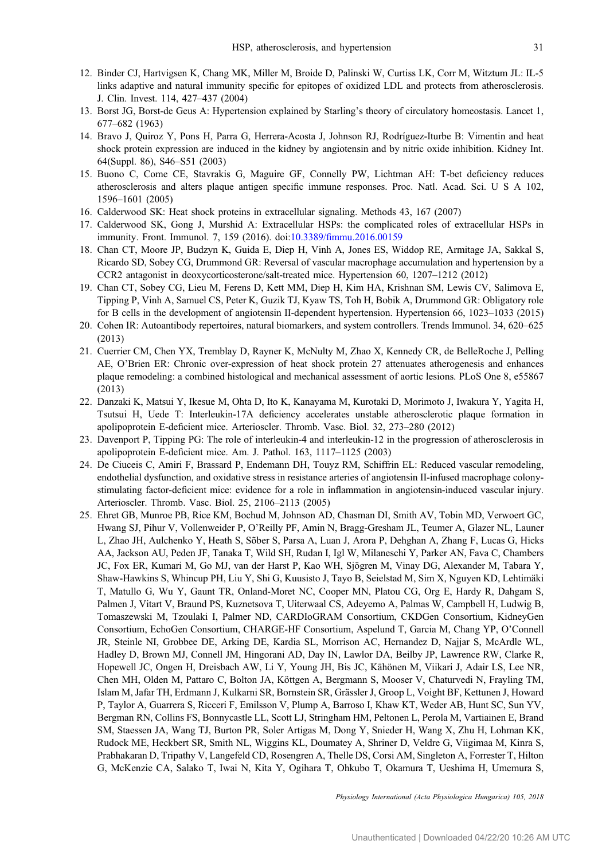- <span id="page-12-0"></span>12. Binder CJ, Hartvigsen K, Chang MK, Miller M, Broide D, Palinski W, Curtiss LK, Corr M, Witztum JL: IL-5 links adaptive and natural immunity specific for epitopes of oxidized LDL and protects from atherosclerosis. J. Clin. Invest. 114, 427–437 (2004)
- 13. Borst JG, Borst-de Geus A: Hypertension explained by Starling's theory of circulatory homeostasis. Lancet 1, 677–682 (1963)
- 14. Bravo J, Quiroz Y, Pons H, Parra G, Herrera-Acosta J, Johnson RJ, Rodríguez-Iturbe B: Vimentin and heat shock protein expression are induced in the kidney by angiotensin and by nitric oxide inhibition. Kidney Int. 64(Suppl. 86), S46–S51 (2003)
- 15. Buono C, Come CE, Stavrakis G, Maguire GF, Connelly PW, Lichtman AH: T-bet deficiency reduces atherosclerosis and alters plaque antigen specific immune responses. Proc. Natl. Acad. Sci. U S A 102, 1596–1601 (2005)
- 16. Calderwood SK: Heat shock proteins in extracellular signaling. Methods 43, 167 (2007)
- 17. Calderwood SK, Gong J, Murshid A: Extracellular HSPs: the complicated roles of extracellular HSPs in immunity. Front. Immunol. 7, 159 (2016). doi:10.3389/fi[mmu.2016.00159](http://dx.doi.org/10.3389/fimmu.2016.00159)
- 18. Chan CT, Moore JP, Budzyn K, Guida E, Diep H, Vinh A, Jones ES, Widdop RE, Armitage JA, Sakkal S, Ricardo SD, Sobey CG, Drummond GR: Reversal of vascular macrophage accumulation and hypertension by a CCR2 antagonist in deoxycorticosterone/salt-treated mice. Hypertension 60, 1207–1212 (2012)
- 19. Chan CT, Sobey CG, Lieu M, Ferens D, Kett MM, Diep H, Kim HA, Krishnan SM, Lewis CV, Salimova E, Tipping P, Vinh A, Samuel CS, Peter K, Guzik TJ, Kyaw TS, Toh H, Bobik A, Drummond GR: Obligatory role for B cells in the development of angiotensin II-dependent hypertension. Hypertension 66, 1023–1033 (2015)
- 20. Cohen IR: Autoantibody repertoires, natural biomarkers, and system controllers. Trends Immunol. 34, 620–625 (2013)
- 21. Cuerrier CM, Chen YX, Tremblay D, Rayner K, McNulty M, Zhao X, Kennedy CR, de BelleRoche J, Pelling AE, O'Brien ER: Chronic over-expression of heat shock protein 27 attenuates atherogenesis and enhances plaque remodeling: a combined histological and mechanical assessment of aortic lesions. PLoS One 8, e55867 (2013)
- 22. Danzaki K, Matsui Y, Ikesue M, Ohta D, Ito K, Kanayama M, Kurotaki D, Morimoto J, Iwakura Y, Yagita H, Tsutsui H, Uede T: Interleukin-17A deficiency accelerates unstable atherosclerotic plaque formation in apolipoprotein E-deficient mice. Arterioscler. Thromb. Vasc. Biol. 32, 273–280 (2012)
- 23. Davenport P, Tipping PG: The role of interleukin-4 and interleukin-12 in the progression of atherosclerosis in apolipoprotein E-deficient mice. Am. J. Pathol. 163, 1117–1125 (2003)
- 24. De Ciuceis C, Amiri F, Brassard P, Endemann DH, Touyz RM, Schiffrin EL: Reduced vascular remodeling, endothelial dysfunction, and oxidative stress in resistance arteries of angiotensin II-infused macrophage colonystimulating factor-deficient mice: evidence for a role in inflammation in angiotensin-induced vascular injury. Arterioscler. Thromb. Vasc. Biol. 25, 2106–2113 (2005)
- 25. Ehret GB, Munroe PB, Rice KM, Bochud M, Johnson AD, Chasman DI, Smith AV, Tobin MD, Verwoert GC, Hwang SJ, Pihur V, Vollenweider P, O'Reilly PF, Amin N, Bragg-Gresham JL, Teumer A, Glazer NL, Launer L, Zhao JH, Aulchenko Y, Heath S, Sõber S, Parsa A, Luan J, Arora P, Dehghan A, Zhang F, Lucas G, Hicks AA, Jackson AU, Peden JF, Tanaka T, Wild SH, Rudan I, Igl W, Milaneschi Y, Parker AN, Fava C, Chambers JC, Fox ER, Kumari M, Go MJ, van der Harst P, Kao WH, Sjögren M, Vinay DG, Alexander M, Tabara Y, Shaw-Hawkins S, Whincup PH, Liu Y, Shi G, Kuusisto J, Tayo B, Seielstad M, Sim X, Nguyen KD, Lehtimäki T, Matullo G, Wu Y, Gaunt TR, Onland-Moret NC, Cooper MN, Platou CG, Org E, Hardy R, Dahgam S, Palmen J, Vitart V, Braund PS, Kuznetsova T, Uiterwaal CS, Adeyemo A, Palmas W, Campbell H, Ludwig B, Tomaszewski M, Tzoulaki I, Palmer ND, CARDIoGRAM Consortium, CKDGen Consortium, KidneyGen Consortium, EchoGen Consortium, CHARGE-HF Consortium, Aspelund T, Garcia M, Chang YP, O'Connell JR, Steinle NI, Grobbee DE, Arking DE, Kardia SL, Morrison AC, Hernandez D, Najjar S, McArdle WL, Hadley D, Brown MJ, Connell JM, Hingorani AD, Day IN, Lawlor DA, Beilby JP, Lawrence RW, Clarke R, Hopewell JC, Ongen H, Dreisbach AW, Li Y, Young JH, Bis JC, Kähönen M, Viikari J, Adair LS, Lee NR, Chen MH, Olden M, Pattaro C, Bolton JA, Köttgen A, Bergmann S, Mooser V, Chaturvedi N, Frayling TM, Islam M, Jafar TH, Erdmann J, Kulkarni SR, Bornstein SR, Grässler J, Groop L, Voight BF, Kettunen J, Howard P, Taylor A, Guarrera S, Ricceri F, Emilsson V, Plump A, Barroso I, Khaw KT, Weder AB, Hunt SC, Sun YV, Bergman RN, Collins FS, Bonnycastle LL, Scott LJ, Stringham HM, Peltonen L, Perola M, Vartiainen E, Brand SM, Staessen JA, Wang TJ, Burton PR, Soler Artigas M, Dong Y, Snieder H, Wang X, Zhu H, Lohman KK, Rudock ME, Heckbert SR, Smith NL, Wiggins KL, Doumatey A, Shriner D, Veldre G, Viigimaa M, Kinra S, Prabhakaran D, Tripathy V, Langefeld CD, Rosengren A, Thelle DS, Corsi AM, Singleton A, Forrester T, Hilton G, McKenzie CA, Salako T, Iwai N, Kita Y, Ogihara T, Ohkubo T, Okamura T, Ueshima H, Umemura S,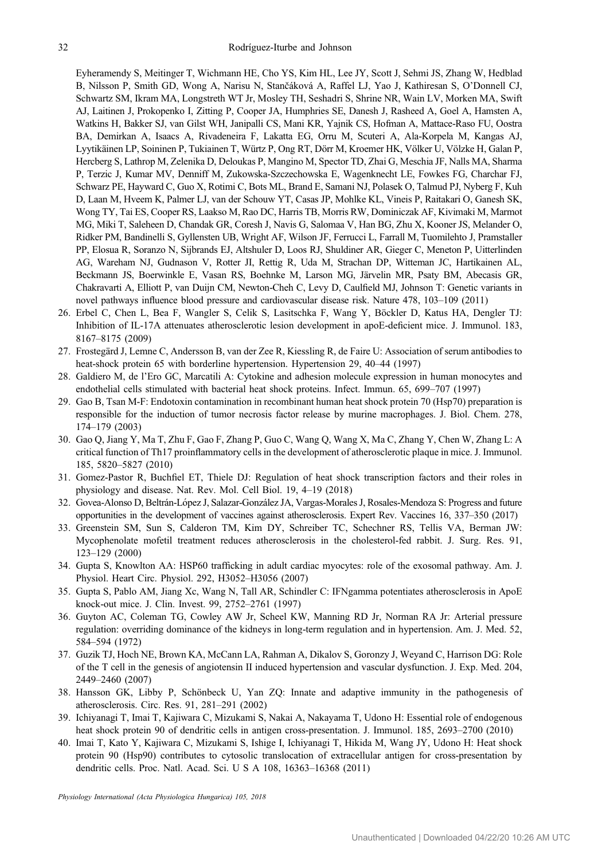<span id="page-13-0"></span>Eyheramendy S, Meitinger T, Wichmann HE, Cho YS, Kim HL, Lee JY, Scott J, Sehmi JS, Zhang W, Hedblad B, Nilsson P, Smith GD, Wong A, Narisu N, Stančáková A, Raffel LJ, Yao J, Kathiresan S, O'Donnell CJ, Schwartz SM, Ikram MA, Longstreth WT Jr, Mosley TH, Seshadri S, Shrine NR, Wain LV, Morken MA, Swift AJ, Laitinen J, Prokopenko I, Zitting P, Cooper JA, Humphries SE, Danesh J, Rasheed A, Goel A, Hamsten A, Watkins H, Bakker SJ, van Gilst WH, Janipalli CS, Mani KR, Yajnik CS, Hofman A, Mattace-Raso FU, Oostra BA, Demirkan A, Isaacs A, Rivadeneira F, Lakatta EG, Orru M, Scuteri A, Ala-Korpela M, Kangas AJ, Lyytikäinen LP, Soininen P, Tukiainen T, Würtz P, Ong RT, Dörr M, Kroemer HK, Völker U, Völzke H, Galan P, Hercberg S, Lathrop M, Zelenika D, Deloukas P, Mangino M, Spector TD, Zhai G, Meschia JF, Nalls MA, Sharma P, Terzic J, Kumar MV, Denniff M, Zukowska-Szczechowska E, Wagenknecht LE, Fowkes FG, Charchar FJ, Schwarz PE, Hayward C, Guo X, Rotimi C, Bots ML, Brand E, Samani NJ, Polasek O, Talmud PJ, Nyberg F, Kuh D, Laan M, Hveem K, Palmer LJ, van der Schouw YT, Casas JP, Mohlke KL, Vineis P, Raitakari O, Ganesh SK, Wong TY, Tai ES, Cooper RS, Laakso M, Rao DC, Harris TB, Morris RW, Dominiczak AF, Kivimaki M, Marmot MG, Miki T, Saleheen D, Chandak GR, Coresh J, Navis G, Salomaa V, Han BG, Zhu X, Kooner JS, Melander O, Ridker PM, Bandinelli S, Gyllensten UB, Wright AF, Wilson JF, Ferrucci L, Farrall M, Tuomilehto J, Pramstaller PP, Elosua R, Soranzo N, Sijbrands EJ, Altshuler D, Loos RJ, Shuldiner AR, Gieger C, Meneton P, Uitterlinden AG, Wareham NJ, Gudnason V, Rotter JI, Rettig R, Uda M, Strachan DP, Witteman JC, Hartikainen AL, Beckmann JS, Boerwinkle E, Vasan RS, Boehnke M, Larson MG, Järvelin MR, Psaty BM, Abecasis GR, Chakravarti A, Elliott P, van Duijn CM, Newton-Cheh C, Levy D, Caulfield MJ, Johnson T: Genetic variants in novel pathways influence blood pressure and cardiovascular disease risk. Nature 478, 103–109 (2011)

- 26. Erbel C, Chen L, Bea F, Wangler S, Celik S, Lasitschka F, Wang Y, Böckler D, Katus HA, Dengler TJ: Inhibition of IL-17A attenuates atherosclerotic lesion development in apoE-deficient mice. J. Immunol. 183, 8167–8175 (2009)
- 27. Frostegärd J, Lemne C, Andersson B, van der Zee R, Kiessling R, de Faire U: Association of serum antibodies to heat-shock protein 65 with borderline hypertension. Hypertension 29, 40–44 (1997)
- 28. Galdiero M, de l'Ero GC, Marcatili A: Cytokine and adhesion molecule expression in human monocytes and endothelial cells stimulated with bacterial heat shock proteins. Infect. Immun. 65, 699–707 (1997)
- 29. Gao B, Tsan M-F: Endotoxin contamination in recombinant human heat shock protein 70 (Hsp70) preparation is responsible for the induction of tumor necrosis factor release by murine macrophages. J. Biol. Chem. 278, 174–179 (2003)
- 30. Gao Q, Jiang Y, Ma T, Zhu F, Gao F, Zhang P, Guo C, Wang Q, Wang X, Ma C, Zhang Y, Chen W, Zhang L: A critical function of Th17 proinflammatory cells in the development of atherosclerotic plaque in mice. J. Immunol. 185, 5820–5827 (2010)
- 31. Gomez-Pastor R, Buchfiel ET, Thiele DJ: Regulation of heat shock transcription factors and their roles in physiology and disease. Nat. Rev. Mol. Cell Biol. 19, 4–19 (2018)
- 32. Govea-Alonso D, Beltrán-L´opez J, Salazar-González JA, Vargas-Morales J, Rosales-Mendoza S: Progress and future opportunities in the development of vaccines against atherosclerosis. Expert Rev. Vaccines 16, 337–350 (2017)
- 33. Greenstein SM, Sun S, Calderon TM, Kim DY, Schreiber TC, Schechner RS, Tellis VA, Berman JW: Mycophenolate mofetil treatment reduces atherosclerosis in the cholesterol-fed rabbit. J. Surg. Res. 91, 123–129 (2000)
- 34. Gupta S, Knowlton AA: HSP60 trafficking in adult cardiac myocytes: role of the exosomal pathway. Am. J. Physiol. Heart Circ. Physiol. 292, H3052–H3056 (2007)
- 35. Gupta S, Pablo AM, Jiang Xc, Wang N, Tall AR, Schindler C: IFNgamma potentiates atherosclerosis in ApoE knock-out mice. J. Clin. Invest. 99, 2752–2761 (1997)
- 36. Guyton AC, Coleman TG, Cowley AW Jr, Scheel KW, Manning RD Jr, Norman RA Jr: Arterial pressure regulation: overriding dominance of the kidneys in long-term regulation and in hypertension. Am. J. Med. 52, 584–594 (1972)
- 37. Guzik TJ, Hoch NE, Brown KA, McCann LA, Rahman A, Dikalov S, Goronzy J, Weyand C, Harrison DG: Role of the T cell in the genesis of angiotensin II induced hypertension and vascular dysfunction. J. Exp. Med. 204, 2449–2460 (2007)
- 38. Hansson GK, Libby P, Schönbeck U, Yan ZQ: Innate and adaptive immunity in the pathogenesis of atherosclerosis. Circ. Res. 91, 281–291 (2002)
- 39. Ichiyanagi T, Imai T, Kajiwara C, Mizukami S, Nakai A, Nakayama T, Udono H: Essential role of endogenous heat shock protein 90 of dendritic cells in antigen cross-presentation. J. Immunol. 185, 2693–2700 (2010)
- 40. Imai T, Kato Y, Kajiwara C, Mizukami S, Ishige I, Ichiyanagi T, Hikida M, Wang JY, Udono H: Heat shock protein 90 (Hsp90) contributes to cytosolic translocation of extracellular antigen for cross-presentation by dendritic cells. Proc. Natl. Acad. Sci. U S A 108, 16363–16368 (2011)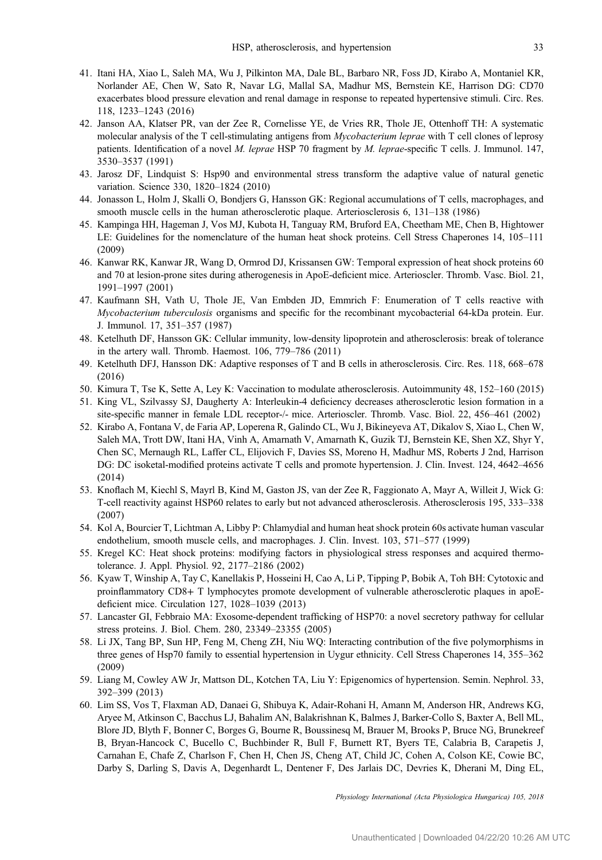- <span id="page-14-0"></span>41. Itani HA, Xiao L, Saleh MA, Wu J, Pilkinton MA, Dale BL, Barbaro NR, Foss JD, Kirabo A, Montaniel KR, Norlander AE, Chen W, Sato R, Navar LG, Mallal SA, Madhur MS, Bernstein KE, Harrison DG: CD70 exacerbates blood pressure elevation and renal damage in response to repeated hypertensive stimuli. Circ. Res. 118, 1233–1243 (2016)
- 42. Janson AA, Klatser PR, van der Zee R, Cornelisse YE, de Vries RR, Thole JE, Ottenhoff TH: A systematic molecular analysis of the T cell-stimulating antigens from *Mycobacterium leprae* with T cell clones of leprosy patients. Identification of a novel M. leprae HSP 70 fragment by M. leprae-specific T cells. J. Immunol. 147, 3530–3537 (1991)
- 43. Jarosz DF, Lindquist S: Hsp90 and environmental stress transform the adaptive value of natural genetic variation. Science 330, 1820–1824 (2010)
- 44. Jonasson L, Holm J, Skalli O, Bondjers G, Hansson GK: Regional accumulations of T cells, macrophages, and smooth muscle cells in the human atherosclerotic plaque. Arteriosclerosis 6, 131–138 (1986)
- 45. Kampinga HH, Hageman J, Vos MJ, Kubota H, Tanguay RM, Bruford EA, Cheetham ME, Chen B, Hightower LE: Guidelines for the nomenclature of the human heat shock proteins. Cell Stress Chaperones 14, 105–111 (2009)
- 46. Kanwar RK, Kanwar JR, Wang D, Ormrod DJ, Krissansen GW: Temporal expression of heat shock proteins 60 and 70 at lesion-prone sites during atherogenesis in ApoE-deficient mice. Arterioscler. Thromb. Vasc. Biol. 21, 1991–1997 (2001)
- 47. Kaufmann SH, Vath U, Thole JE, Van Embden JD, Emmrich F: Enumeration of T cells reactive with Mycobacterium tuberculosis organisms and specific for the recombinant mycobacterial 64-kDa protein. Eur. J. Immunol. 17, 351–357 (1987)
- 48. Ketelhuth DF, Hansson GK: Cellular immunity, low-density lipoprotein and atherosclerosis: break of tolerance in the artery wall. Thromb. Haemost. 106, 779–786 (2011)
- 49. Ketelhuth DFJ, Hansson DK: Adaptive responses of T and B cells in atherosclerosis. Circ. Res. 118, 668–678 (2016)
- 50. Kimura T, Tse K, Sette A, Ley K: Vaccination to modulate atherosclerosis. Autoimmunity 48, 152–160 (2015)
- 51. King VL, Szilvassy SJ, Daugherty A: Interleukin-4 deficiency decreases atherosclerotic lesion formation in a site-specific manner in female LDL receptor-/- mice. Arterioscler. Thromb. Vasc. Biol. 22, 456–461 (2002)
- 52. Kirabo A, Fontana V, de Faria AP, Loperena R, Galindo CL, Wu J, Bikineyeva AT, Dikalov S, Xiao L, Chen W, Saleh MA, Trott DW, Itani HA, Vinh A, Amarnath V, Amarnath K, Guzik TJ, Bernstein KE, Shen XZ, Shyr Y, Chen SC, Mernaugh RL, Laffer CL, Elijovich F, Davies SS, Moreno H, Madhur MS, Roberts J 2nd, Harrison DG: DC isoketal-modified proteins activate T cells and promote hypertension. J. Clin. Invest. 124, 4642–4656 (2014)
- 53. Knoflach M, Kiechl S, Mayrl B, Kind M, Gaston JS, van der Zee R, Faggionato A, Mayr A, Willeit J, Wick G: T-cell reactivity against HSP60 relates to early but not advanced atherosclerosis. Atherosclerosis 195, 333–338 (2007)
- 54. Kol A, Bourcier T, Lichtman A, Libby P: Chlamydial and human heat shock protein 60s activate human vascular endothelium, smooth muscle cells, and macrophages. J. Clin. Invest. 103, 571–577 (1999)
- 55. Kregel KC: Heat shock proteins: modifying factors in physiological stress responses and acquired thermotolerance. J. Appl. Physiol. 92, 2177–2186 (2002)
- 56. Kyaw T, Winship A, Tay C, Kanellakis P, Hosseini H, Cao A, Li P, Tipping P, Bobik A, Toh BH: Cytotoxic and proinflammatory CD8+ T lymphocytes promote development of vulnerable atherosclerotic plaques in apoEdeficient mice. Circulation 127, 1028–1039 (2013)
- 57. Lancaster GI, Febbraio MA: Exosome-dependent trafficking of HSP70: a novel secretory pathway for cellular stress proteins. J. Biol. Chem. 280, 23349–23355 (2005)
- 58. Li JX, Tang BP, Sun HP, Feng M, Cheng ZH, Niu WQ: Interacting contribution of the five polymorphisms in three genes of Hsp70 family to essential hypertension in Uygur ethnicity. Cell Stress Chaperones 14, 355–362 (2009)
- 59. Liang M, Cowley AW Jr, Mattson DL, Kotchen TA, Liu Y: Epigenomics of hypertension. Semin. Nephrol. 33, 392–399 (2013)
- 60. Lim SS, Vos T, Flaxman AD, Danaei G, Shibuya K, Adair-Rohani H, Amann M, Anderson HR, Andrews KG, Aryee M, Atkinson C, Bacchus LJ, Bahalim AN, Balakrishnan K, Balmes J, Barker-Collo S, Baxter A, Bell ML, Blore JD, Blyth F, Bonner C, Borges G, Bourne R, Boussinesq M, Brauer M, Brooks P, Bruce NG, Brunekreef B, Bryan-Hancock C, Bucello C, Buchbinder R, Bull F, Burnett RT, Byers TE, Calabria B, Carapetis J, Carnahan E, Chafe Z, Charlson F, Chen H, Chen JS, Cheng AT, Child JC, Cohen A, Colson KE, Cowie BC, Darby S, Darling S, Davis A, Degenhardt L, Dentener F, Des Jarlais DC, Devries K, Dherani M, Ding EL,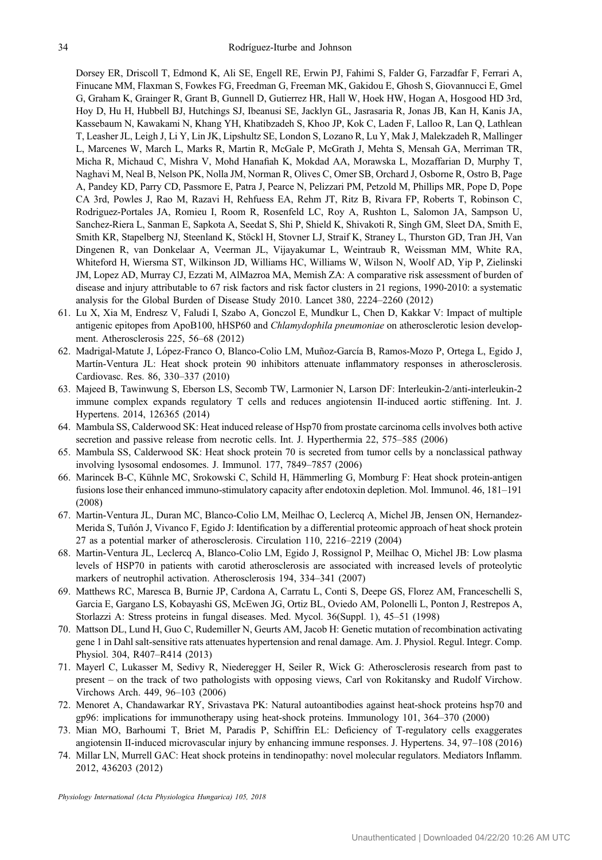<span id="page-15-0"></span>Dorsey ER, Driscoll T, Edmond K, Ali SE, Engell RE, Erwin PJ, Fahimi S, Falder G, Farzadfar F, Ferrari A, Finucane MM, Flaxman S, Fowkes FG, Freedman G, Freeman MK, Gakidou E, Ghosh S, Giovannucci E, Gmel G, Graham K, Grainger R, Grant B, Gunnell D, Gutierrez HR, Hall W, Hoek HW, Hogan A, Hosgood HD 3rd, Hoy D, Hu H, Hubbell BJ, Hutchings SJ, Ibeanusi SE, Jacklyn GL, Jasrasaria R, Jonas JB, Kan H, Kanis JA, Kassebaum N, Kawakami N, Khang YH, Khatibzadeh S, Khoo JP, Kok C, Laden F, Lalloo R, Lan Q, Lathlean T, Leasher JL, Leigh J, Li Y, Lin JK, Lipshultz SE, London S, Lozano R, Lu Y, Mak J, Malekzadeh R, Mallinger L, Marcenes W, March L, Marks R, Martin R, McGale P, McGrath J, Mehta S, Mensah GA, Merriman TR, Micha R, Michaud C, Mishra V, Mohd Hanafiah K, Mokdad AA, Morawska L, Mozaffarian D, Murphy T, Naghavi M, Neal B, Nelson PK, Nolla JM, Norman R, Olives C, Omer SB, Orchard J, Osborne R, Ostro B, Page A, Pandey KD, Parry CD, Passmore E, Patra J, Pearce N, Pelizzari PM, Petzold M, Phillips MR, Pope D, Pope CA 3rd, Powles J, Rao M, Razavi H, Rehfuess EA, Rehm JT, Ritz B, Rivara FP, Roberts T, Robinson C, Rodriguez-Portales JA, Romieu I, Room R, Rosenfeld LC, Roy A, Rushton L, Salomon JA, Sampson U, Sanchez-Riera L, Sanman E, Sapkota A, Seedat S, Shi P, Shield K, Shivakoti R, Singh GM, Sleet DA, Smith E, Smith KR, Stapelberg NJ, Steenland K, Stöckl H, Stovner LJ, Straif K, Straney L, Thurston GD, Tran JH, Van Dingenen R, van Donkelaar A, Veerman JL, Vijayakumar L, Weintraub R, Weissman MM, White RA, Whiteford H, Wiersma ST, Wilkinson JD, Williams HC, Williams W, Wilson N, Woolf AD, Yip P, Zielinski JM, Lopez AD, Murray CJ, Ezzati M, AlMazroa MA, Memish ZA: A comparative risk assessment of burden of disease and injury attributable to 67 risk factors and risk factor clusters in 21 regions, 1990-2010: a systematic analysis for the Global Burden of Disease Study 2010. Lancet 380, 2224–2260 (2012)

- 61. Lu X, Xia M, Endresz V, Faludi I, Szabo A, Gonczol E, Mundkur L, Chen D, Kakkar V: Impact of multiple antigenic epitopes from ApoB100, hHSP60 and Chlamydophila pneumoniae on atherosclerotic lesion development. Atherosclerosis 225, 56–68 (2012)
- 62. Madrigal-Matute J, López-Franco O, Blanco-Colio LM, Muñoz-García B, Ramos-Mozo P, Ortega L, Egido J, Martín-Ventura JL: Heat shock protein 90 inhibitors attenuate inflammatory responses in atherosclerosis. Cardiovasc. Res. 86, 330–337 (2010)
- 63. Majeed B, Tawinwung S, Eberson LS, Secomb TW, Larmonier N, Larson DF: Interleukin-2/anti-interleukin-2 immune complex expands regulatory T cells and reduces angiotensin II-induced aortic stiffening. Int. J. Hypertens. 2014, 126365 (2014)
- 64. Mambula SS, Calderwood SK: Heat induced release of Hsp70 from prostate carcinoma cells involves both active secretion and passive release from necrotic cells. Int. J. Hyperthermia 22, 575–585 (2006)
- 65. Mambula SS, Calderwood SK: Heat shock protein 70 is secreted from tumor cells by a nonclassical pathway involving lysosomal endosomes. J. Immunol. 177, 7849–7857 (2006)
- 66. Marincek B-C, Kühnle MC, Srokowski C, Schild H, Hämmerling G, Momburg F: Heat shock protein-antigen fusions lose their enhanced immuno-stimulatory capacity after endotoxin depletion. Mol. Immunol. 46, 181–191 (2008)
- 67. Martin-Ventura JL, Duran MC, Blanco-Colio LM, Meilhac O, Leclercq A, Michel JB, Jensen ON, Hernandez-Merida S, Tuñón J, Vivanco F, Egido J: Identification by a differential proteomic approach of heat shock protein 27 as a potential marker of atherosclerosis. Circulation 110, 2216–2219 (2004)
- 68. Martin-Ventura JL, Leclercq A, Blanco-Colio LM, Egido J, Rossignol P, Meilhac O, Michel JB: Low plasma levels of HSP70 in patients with carotid atherosclerosis are associated with increased levels of proteolytic markers of neutrophil activation. Atherosclerosis 194, 334–341 (2007)
- 69. Matthews RC, Maresca B, Burnie JP, Cardona A, Carratu L, Conti S, Deepe GS, Florez AM, Franceschelli S, Garcia E, Gargano LS, Kobayashi GS, McEwen JG, Ortiz BL, Oviedo AM, Polonelli L, Ponton J, Restrepos A, Storlazzi A: Stress proteins in fungal diseases. Med. Mycol. 36(Suppl. 1), 45–51 (1998)
- 70. Mattson DL, Lund H, Guo C, Rudemiller N, Geurts AM, Jacob H: Genetic mutation of recombination activating gene 1 in Dahl salt-sensitive rats attenuates hypertension and renal damage. Am. J. Physiol. Regul. Integr. Comp. Physiol. 304, R407–R414 (2013)
- 71. Mayerl C, Lukasser M, Sedivy R, Niederegger H, Seiler R, Wick G: Atherosclerosis research from past to present – on the track of two pathologists with opposing views, Carl von Rokitansky and Rudolf Virchow. Virchows Arch. 449, 96–103 (2006)
- 72. Menoret A, Chandawarkar RY, Srivastava PK: Natural autoantibodies against heat-shock proteins hsp70 and gp96: implications for immunotherapy using heat-shock proteins. Immunology 101, 364–370 (2000)
- 73. Mian MO, Barhoumi T, Briet M, Paradis P, Schiffrin EL: Deficiency of T-regulatory cells exaggerates angiotensin II-induced microvascular injury by enhancing immune responses. J. Hypertens. 34, 97–108 (2016)
- 74. Millar LN, Murrell GAC: Heat shock proteins in tendinopathy: novel molecular regulators. Mediators Inflamm. 2012, 436203 (2012)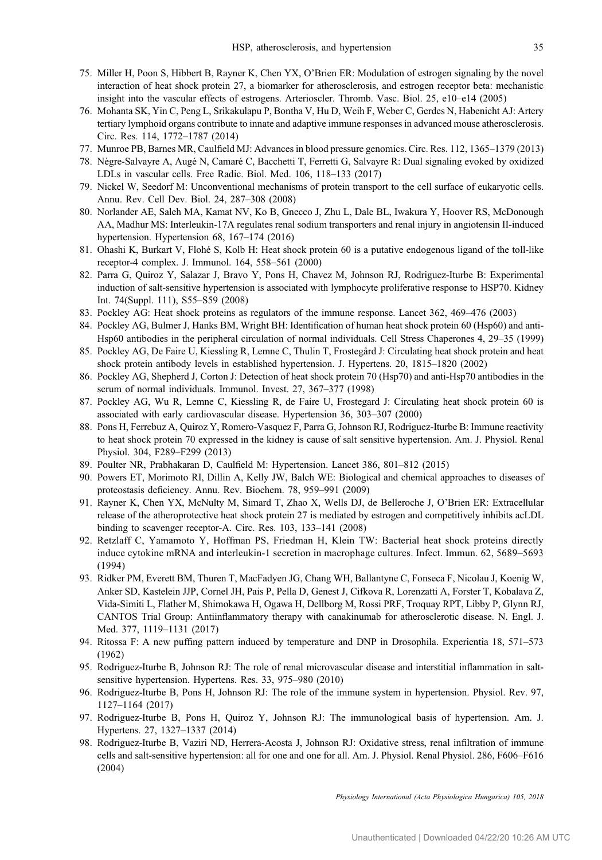- <span id="page-16-0"></span>75. Miller H, Poon S, Hibbert B, Rayner K, Chen YX, O'Brien ER: Modulation of estrogen signaling by the novel interaction of heat shock protein 27, a biomarker for atherosclerosis, and estrogen receptor beta: mechanistic insight into the vascular effects of estrogens. Arterioscler. Thromb. Vasc. Biol. 25, e10–e14 (2005)
- 76. Mohanta SK, Yin C, Peng L, Srikakulapu P, Bontha V, Hu D, Weih F, Weber C, Gerdes N, Habenicht AJ: Artery tertiary lymphoid organs contribute to innate and adaptive immune responses in advanced mouse atherosclerosis. Circ. Res. 114, 1772–1787 (2014)
- 77. Munroe PB, Barnes MR, Caulfield MJ: Advances in blood pressure genomics. Circ. Res. 112, 1365–1379 (2013)
- 78. Nègre-Salvayre A, Augé N, Camaré C, Bacchetti T, Ferretti G, Salvayre R: Dual signaling evoked by oxidized LDLs in vascular cells. Free Radic. Biol. Med. 106, 118–133 (2017)
- 79. Nickel W, Seedorf M: Unconventional mechanisms of protein transport to the cell surface of eukaryotic cells. Annu. Rev. Cell Dev. Biol. 24, 287–308 (2008)
- 80. Norlander AE, Saleh MA, Kamat NV, Ko B, Gnecco J, Zhu L, Dale BL, Iwakura Y, Hoover RS, McDonough AA, Madhur MS: Interleukin-17A regulates renal sodium transporters and renal injury in angiotensin II-induced hypertension. Hypertension 68, 167–174 (2016)
- 81. Ohashi K, Burkart V, Flohé S, Kolb H: Heat shock protein 60 is a putative endogenous ligand of the toll-like receptor-4 complex. J. Immunol. 164, 558–561 (2000)
- 82. Parra G, Quiroz Y, Salazar J, Bravo Y, Pons H, Chavez M, Johnson RJ, Rodriguez-Iturbe B: Experimental induction of salt-sensitive hypertension is associated with lymphocyte proliferative response to HSP70. Kidney Int. 74(Suppl. 111), S55–S59 (2008)
- 83. Pockley AG: Heat shock proteins as regulators of the immune response. Lancet 362, 469–476 (2003)
- 84. Pockley AG, Bulmer J, Hanks BM, Wright BH: Identification of human heat shock protein 60 (Hsp60) and anti-Hsp60 antibodies in the peripheral circulation of normal individuals. Cell Stress Chaperones 4, 29–35 (1999)
- 85. Pockley AG, De Faire U, Kiessling R, Lemne C, Thulin T, Frostegård J: Circulating heat shock protein and heat shock protein antibody levels in established hypertension. J. Hypertens. 20, 1815–1820 (2002)
- 86. Pockley AG, Shepherd J, Corton J: Detection of heat shock protein 70 (Hsp70) and anti-Hsp70 antibodies in the serum of normal individuals. Immunol. Invest. 27, 367–377 (1998)
- 87. Pockley AG, Wu R, Lemne C, Kiessling R, de Faire U, Frostegard J: Circulating heat shock protein 60 is associated with early cardiovascular disease. Hypertension 36, 303–307 (2000)
- 88. Pons H, Ferrebuz A, Quiroz Y, Romero-Vasquez F, Parra G, Johnson RJ, Rodriguez-Iturbe B: Immune reactivity to heat shock protein 70 expressed in the kidney is cause of salt sensitive hypertension. Am. J. Physiol. Renal Physiol. 304, F289–F299 (2013)
- 89. Poulter NR, Prabhakaran D, Caulfield M: Hypertension. Lancet 386, 801–812 (2015)
- 90. Powers ET, Morimoto RI, Dillin A, Kelly JW, Balch WE: Biological and chemical approaches to diseases of proteostasis deficiency. Annu. Rev. Biochem. 78, 959–991 (2009)
- 91. Rayner K, Chen YX, McNulty M, Simard T, Zhao X, Wells DJ, de Belleroche J, O'Brien ER: Extracellular release of the atheroprotective heat shock protein 27 is mediated by estrogen and competitively inhibits acLDL binding to scavenger receptor-A. Circ. Res. 103, 133–141 (2008)
- 92. Retzlaff C, Yamamoto Y, Hoffman PS, Friedman H, Klein TW: Bacterial heat shock proteins directly induce cytokine mRNA and interleukin-1 secretion in macrophage cultures. Infect. Immun. 62, 5689–5693 (1994)
- 93. Ridker PM, Everett BM, Thuren T, MacFadyen JG, Chang WH, Ballantyne C, Fonseca F, Nicolau J, Koenig W, Anker SD, Kastelein JJP, Cornel JH, Pais P, Pella D, Genest J, Cifkova R, Lorenzatti A, Forster T, Kobalava Z, Vida-Simiti L, Flather M, Shimokawa H, Ogawa H, Dellborg M, Rossi PRF, Troquay RPT, Libby P, Glynn RJ, CANTOS Trial Group: Antiinflammatory therapy with canakinumab for atherosclerotic disease. N. Engl. J. Med. 377, 1119–1131 (2017)
- 94. Ritossa F: A new puffing pattern induced by temperature and DNP in Drosophila. Experientia 18, 571–573 (1962)
- 95. Rodriguez-Iturbe B, Johnson RJ: The role of renal microvascular disease and interstitial inflammation in saltsensitive hypertension. Hypertens. Res. 33, 975–980 (2010)
- 96. Rodriguez-Iturbe B, Pons H, Johnson RJ: The role of the immune system in hypertension. Physiol. Rev. 97, 1127–1164 (2017)
- 97. Rodriguez-Iturbe B, Pons H, Quiroz Y, Johnson RJ: The immunological basis of hypertension. Am. J. Hypertens. 27, 1327–1337 (2014)
- 98. Rodriguez-Iturbe B, Vaziri ND, Herrera-Acosta J, Johnson RJ: Oxidative stress, renal infiltration of immune cells and salt-sensitive hypertension: all for one and one for all. Am. J. Physiol. Renal Physiol. 286, F606–F616 (2004)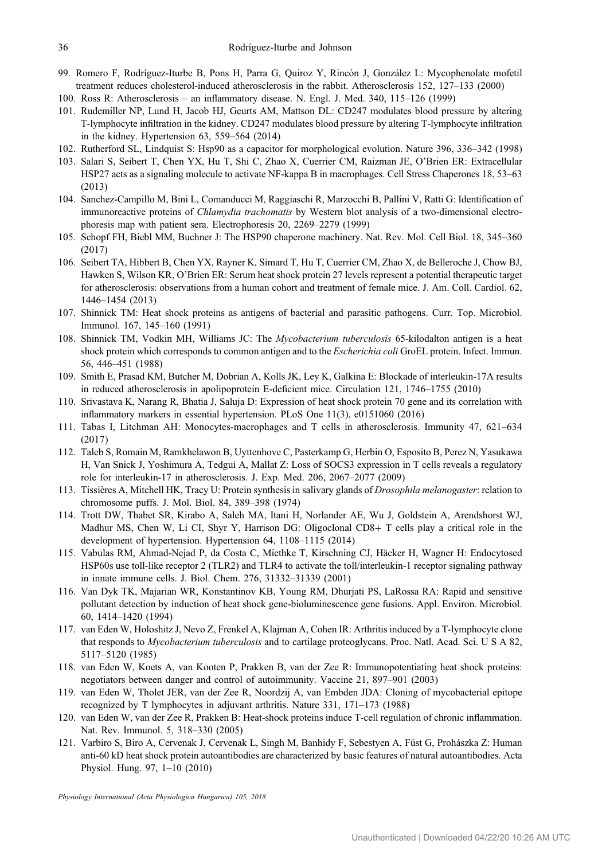- <span id="page-17-0"></span>99. Romero F, Rodríguez-Iturbe B, Pons H, Parra G, Quiroz Y, Rincón J, González L: Mycophenolate mofetil treatment reduces cholesterol-induced atherosclerosis in the rabbit. Atherosclerosis 152, 127–133 (2000)
- 100. Ross R: Atherosclerosis an inflammatory disease. N. Engl. J. Med. 340, 115–126 (1999)
- 101. Rudemiller NP, Lund H, Jacob HJ, Geurts AM, Mattson DL: CD247 modulates blood pressure by altering T-lymphocyte infiltration in the kidney. CD247 modulates blood pressure by altering T-lymphocyte infiltration in the kidney. Hypertension 63, 559–564 (2014)
- 102. Rutherford SL, Lindquist S: Hsp90 as a capacitor for morphological evolution. Nature 396, 336–342 (1998)
- 103. Salari S, Seibert T, Chen YX, Hu T, Shi C, Zhao X, Cuerrier CM, Raizman JE, O'Brien ER: Extracellular HSP27 acts as a signaling molecule to activate NF-kappa B in macrophages. Cell Stress Chaperones 18, 53–63 (2013)
- 104. Sanchez-Campillo M, Bini L, Comanducci M, Raggiaschi R, Marzocchi B, Pallini V, Ratti G: Identification of immunoreactive proteins of *Chlamydia trachomatis* by Western blot analysis of a two-dimensional electrophoresis map with patient sera. Electrophoresis 20, 2269–2279 (1999)
- 105. Schopf FH, Biebl MM, Buchner J: The HSP90 chaperone machinery. Nat. Rev. Mol. Cell Biol. 18, 345–360 (2017)
- 106. Seibert TA, Hibbert B, Chen YX, Rayner K, Simard T, Hu T, Cuerrier CM, Zhao X, de Belleroche J, Chow BJ, Hawken S, Wilson KR, O'Brien ER: Serum heat shock protein 27 levels represent a potential therapeutic target for atherosclerosis: observations from a human cohort and treatment of female mice. J. Am. Coll. Cardiol. 62, 1446–1454 (2013)
- 107. Shinnick TM: Heat shock proteins as antigens of bacterial and parasitic pathogens. Curr. Top. Microbiol. Immunol. 167, 145–160 (1991)
- 108. Shinnick TM, Vodkin MH, Williams JC: The Mycobacterium tuberculosis 65-kilodalton antigen is a heat shock protein which corresponds to common antigen and to the *Escherichia coli* GroEL protein. Infect. Immun. 56, 446–451 (1988)
- 109. Smith E, Prasad KM, Butcher M, Dobrian A, Kolls JK, Ley K, Galkina E: Blockade of interleukin-17A results in reduced atherosclerosis in apolipoprotein E-deficient mice. Circulation 121, 1746–1755 (2010)
- 110. Srivastava K, Narang R, Bhatia J, Saluja D: Expression of heat shock protein 70 gene and its correlation with inflammatory markers in essential hypertension. PLoS One 11(3), e0151060 (2016)
- 111. Tabas I, Litchman AH: Monocytes-macrophages and T cells in atherosclerosis. Immunity 47, 621–634 (2017)
- 112. Taleb S, Romain M, Ramkhelawon B, Uyttenhove C, Pasterkamp G, Herbin O, Esposito B, Perez N, Yasukawa H, Van Snick J, Yoshimura A, Tedgui A, Mallat Z: Loss of SOCS3 expression in T cells reveals a regulatory role for interleukin-17 in atherosclerosis. J. Exp. Med. 206, 2067–2077 (2009)
- 113. Tissières A, Mitchell HK, Tracy U: Protein synthesis in salivary glands of Drosophila melanogaster: relation to chromosome puffs. J. Mol. Biol. 84, 389–398 (1974)
- 114. Trott DW, Thabet SR, Kirabo A, Saleh MA, Itani H, Norlander AE, Wu J, Goldstein A, Arendshorst WJ, Madhur MS, Chen W, Li CI, Shyr Y, Harrison DG: Oligoclonal CD8+ T cells play a critical role in the development of hypertension. Hypertension 64, 1108–1115 (2014)
- 115. Vabulas RM, Ahmad-Nejad P, da Costa C, Miethke T, Kirschning CJ, Häcker H, Wagner H: Endocytosed HSP60s use toll-like receptor 2 (TLR2) and TLR4 to activate the toll/interleukin-1 receptor signaling pathway in innate immune cells. J. Biol. Chem. 276, 31332–31339 (2001)
- 116. Van Dyk TK, Majarian WR, Konstantinov KB, Young RM, Dhurjati PS, LaRossa RA: Rapid and sensitive pollutant detection by induction of heat shock gene-bioluminescence gene fusions. Appl. Environ. Microbiol. 60, 1414–1420 (1994)
- 117. van Eden W, Holoshitz J, Nevo Z, Frenkel A, Klajman A, Cohen IR: Arthritis induced by a T-lymphocyte clone that responds to *Mycobacterium tuberculosis* and to cartilage proteoglycans. Proc. Natl. Acad. Sci. U S A 82, 5117–5120 (1985)
- 118. van Eden W, Koets A, van Kooten P, Prakken B, van der Zee R: Immunopotentiating heat shock proteins: negotiators between danger and control of autoimmunity. Vaccine 21, 897–901 (2003)
- 119. van Eden W, Tholet JER, van der Zee R, Noordzij A, van Embden JDA: Cloning of mycobacterial epitope recognized by T lymphocytes in adjuvant arthritis. Nature 331, 171–173 (1988)
- 120. van Eden W, van der Zee R, Prakken B: Heat-shock proteins induce T-cell regulation of chronic inflammation. Nat. Rev. Immunol. 5, 318–330 (2005)
- 121. Varbiro S, Biro A, Cervenak J, Cervenak L, Singh M, Banhidy F, Sebestyen A, Füst G, Prohászka Z: Human anti-60 kD heat shock protein autoantibodies are characterized by basic features of natural autoantibodies. Acta Physiol. Hung. 97, 1–10 (2010)